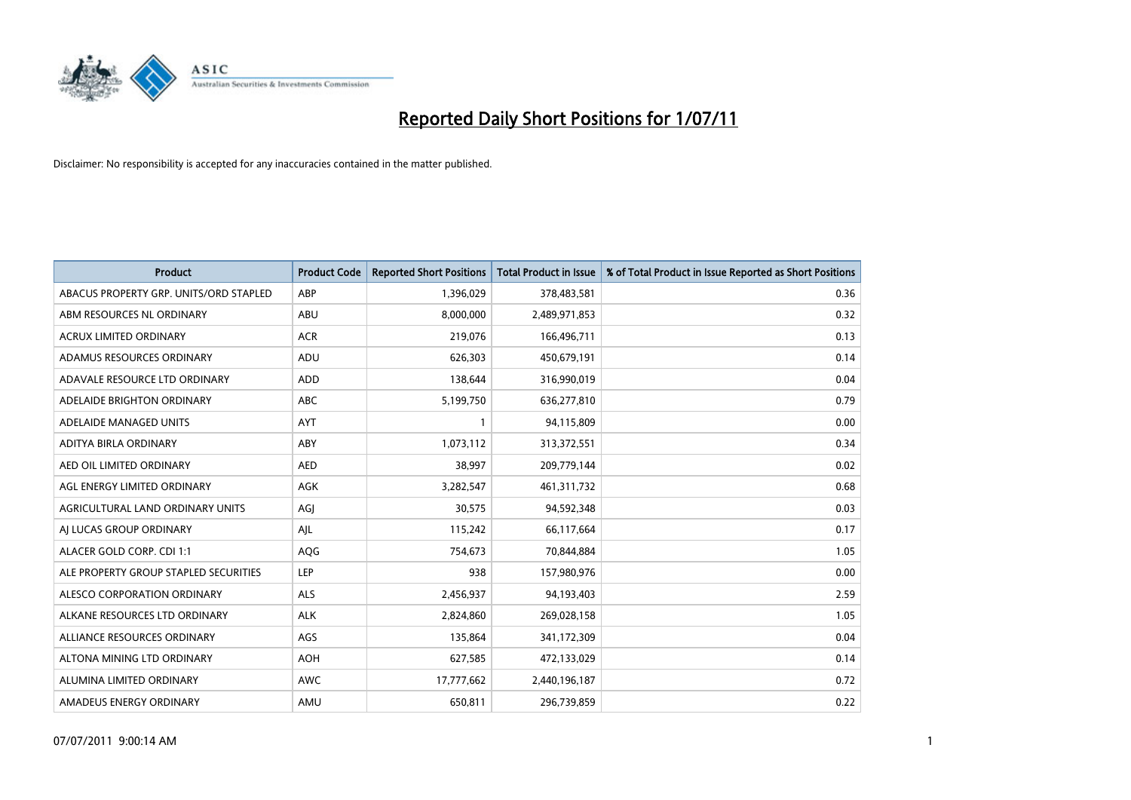

| <b>Product</b>                         | <b>Product Code</b> | <b>Reported Short Positions</b> | <b>Total Product in Issue</b> | % of Total Product in Issue Reported as Short Positions |
|----------------------------------------|---------------------|---------------------------------|-------------------------------|---------------------------------------------------------|
| ABACUS PROPERTY GRP. UNITS/ORD STAPLED | ABP                 | 1,396,029                       | 378,483,581                   | 0.36                                                    |
| ABM RESOURCES NL ORDINARY              | ABU                 | 8,000,000                       | 2,489,971,853                 | 0.32                                                    |
| <b>ACRUX LIMITED ORDINARY</b>          | <b>ACR</b>          | 219,076                         | 166,496,711                   | 0.13                                                    |
| ADAMUS RESOURCES ORDINARY              | ADU                 | 626,303                         | 450,679,191                   | 0.14                                                    |
| ADAVALE RESOURCE LTD ORDINARY          | <b>ADD</b>          | 138.644                         | 316,990,019                   | 0.04                                                    |
| ADELAIDE BRIGHTON ORDINARY             | <b>ABC</b>          | 5,199,750                       | 636,277,810                   | 0.79                                                    |
| ADELAIDE MANAGED UNITS                 | <b>AYT</b>          |                                 | 94,115,809                    | 0.00                                                    |
| ADITYA BIRLA ORDINARY                  | ABY                 | 1,073,112                       | 313,372,551                   | 0.34                                                    |
| AED OIL LIMITED ORDINARY               | <b>AED</b>          | 38,997                          | 209,779,144                   | 0.02                                                    |
| AGL ENERGY LIMITED ORDINARY            | <b>AGK</b>          | 3,282,547                       | 461,311,732                   | 0.68                                                    |
| AGRICULTURAL LAND ORDINARY UNITS       | AGJ                 | 30,575                          | 94,592,348                    | 0.03                                                    |
| AI LUCAS GROUP ORDINARY                | AJL                 | 115,242                         | 66,117,664                    | 0.17                                                    |
| ALACER GOLD CORP. CDI 1:1              | AQG                 | 754,673                         | 70,844,884                    | 1.05                                                    |
| ALE PROPERTY GROUP STAPLED SECURITIES  | <b>LEP</b>          | 938                             | 157,980,976                   | 0.00                                                    |
| ALESCO CORPORATION ORDINARY            | <b>ALS</b>          | 2,456,937                       | 94,193,403                    | 2.59                                                    |
| ALKANE RESOURCES LTD ORDINARY          | <b>ALK</b>          | 2,824,860                       | 269,028,158                   | 1.05                                                    |
| ALLIANCE RESOURCES ORDINARY            | AGS                 | 135,864                         | 341,172,309                   | 0.04                                                    |
| ALTONA MINING LTD ORDINARY             | <b>AOH</b>          | 627,585                         | 472,133,029                   | 0.14                                                    |
| ALUMINA LIMITED ORDINARY               | <b>AWC</b>          | 17,777,662                      | 2,440,196,187                 | 0.72                                                    |
| AMADEUS ENERGY ORDINARY                | AMU                 | 650,811                         | 296,739,859                   | 0.22                                                    |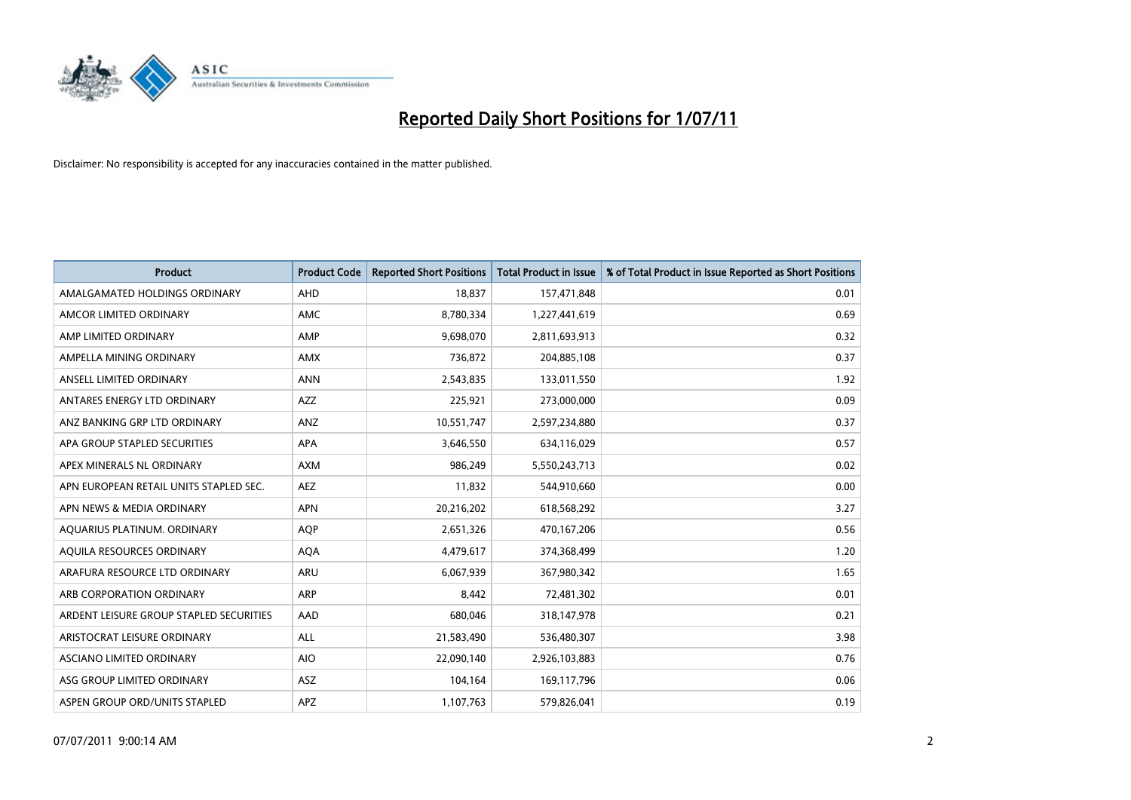

| <b>Product</b>                          | <b>Product Code</b> | <b>Reported Short Positions</b> | Total Product in Issue | % of Total Product in Issue Reported as Short Positions |
|-----------------------------------------|---------------------|---------------------------------|------------------------|---------------------------------------------------------|
| AMALGAMATED HOLDINGS ORDINARY           | AHD                 | 18,837                          | 157,471,848            | 0.01                                                    |
| AMCOR LIMITED ORDINARY                  | <b>AMC</b>          | 8,780,334                       | 1,227,441,619          | 0.69                                                    |
| AMP LIMITED ORDINARY                    | AMP                 | 9,698,070                       | 2,811,693,913          | 0.32                                                    |
| AMPELLA MINING ORDINARY                 | <b>AMX</b>          | 736,872                         | 204,885,108            | 0.37                                                    |
| ANSELL LIMITED ORDINARY                 | <b>ANN</b>          | 2,543,835                       | 133,011,550            | 1.92                                                    |
| ANTARES ENERGY LTD ORDINARY             | <b>AZZ</b>          | 225,921                         | 273,000,000            | 0.09                                                    |
| ANZ BANKING GRP LTD ORDINARY            | ANZ                 | 10,551,747                      | 2,597,234,880          | 0.37                                                    |
| APA GROUP STAPLED SECURITIES            | <b>APA</b>          | 3,646,550                       | 634,116,029            | 0.57                                                    |
| APEX MINERALS NL ORDINARY               | <b>AXM</b>          | 986,249                         | 5,550,243,713          | 0.02                                                    |
| APN EUROPEAN RETAIL UNITS STAPLED SEC.  | <b>AEZ</b>          | 11,832                          | 544,910,660            | 0.00                                                    |
| APN NEWS & MEDIA ORDINARY               | <b>APN</b>          | 20,216,202                      | 618,568,292            | 3.27                                                    |
| AQUARIUS PLATINUM. ORDINARY             | <b>AOP</b>          | 2,651,326                       | 470,167,206            | 0.56                                                    |
| AQUILA RESOURCES ORDINARY               | <b>AQA</b>          | 4,479,617                       | 374,368,499            | 1.20                                                    |
| ARAFURA RESOURCE LTD ORDINARY           | <b>ARU</b>          | 6,067,939                       | 367,980,342            | 1.65                                                    |
| ARB CORPORATION ORDINARY                | <b>ARP</b>          | 8,442                           | 72,481,302             | 0.01                                                    |
| ARDENT LEISURE GROUP STAPLED SECURITIES | AAD                 | 680,046                         | 318,147,978            | 0.21                                                    |
| ARISTOCRAT LEISURE ORDINARY             | <b>ALL</b>          | 21,583,490                      | 536,480,307            | 3.98                                                    |
| ASCIANO LIMITED ORDINARY                | <b>AIO</b>          | 22,090,140                      | 2,926,103,883          | 0.76                                                    |
| ASG GROUP LIMITED ORDINARY              | <b>ASZ</b>          | 104,164                         | 169,117,796            | 0.06                                                    |
| ASPEN GROUP ORD/UNITS STAPLED           | <b>APZ</b>          | 1,107,763                       | 579,826,041            | 0.19                                                    |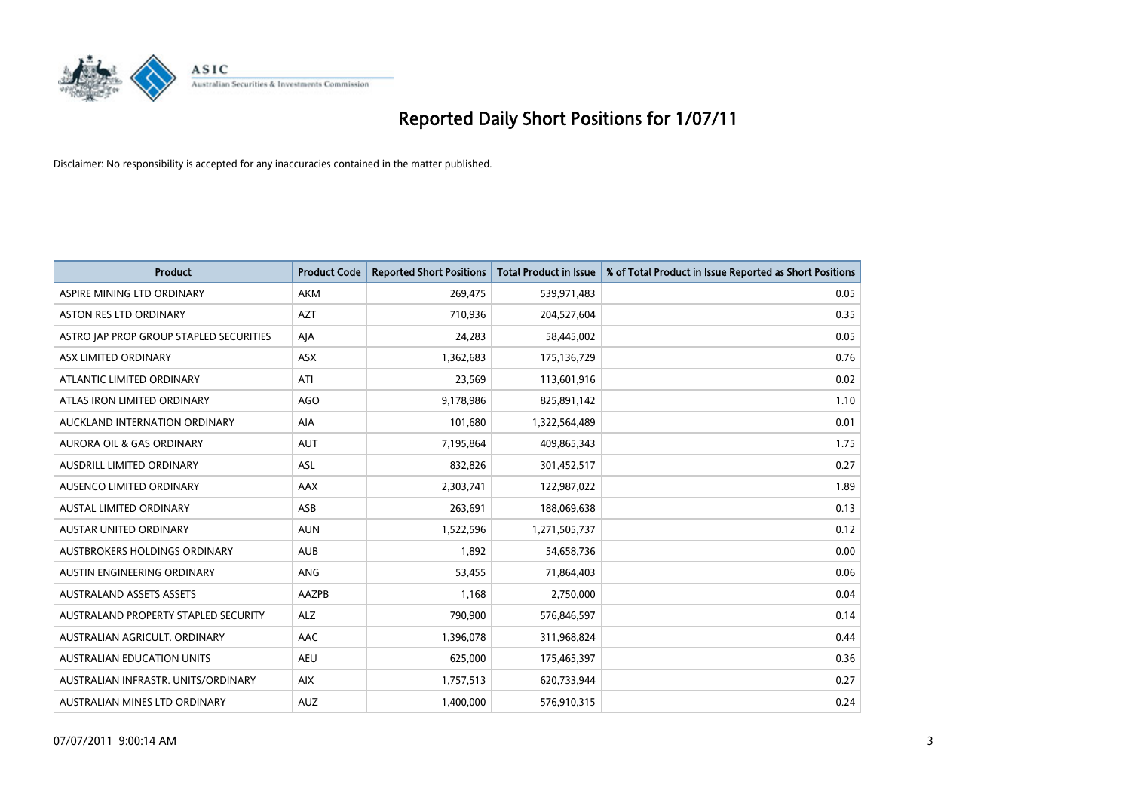

| <b>Product</b>                          | <b>Product Code</b> | <b>Reported Short Positions</b> | <b>Total Product in Issue</b> | % of Total Product in Issue Reported as Short Positions |
|-----------------------------------------|---------------------|---------------------------------|-------------------------------|---------------------------------------------------------|
| ASPIRE MINING LTD ORDINARY              | <b>AKM</b>          | 269,475                         | 539,971,483                   | 0.05                                                    |
| ASTON RES LTD ORDINARY                  | <b>AZT</b>          | 710,936                         | 204,527,604                   | 0.35                                                    |
| ASTRO JAP PROP GROUP STAPLED SECURITIES | AJA                 | 24,283                          | 58,445,002                    | 0.05                                                    |
| ASX LIMITED ORDINARY                    | ASX                 | 1,362,683                       | 175,136,729                   | 0.76                                                    |
| ATLANTIC LIMITED ORDINARY               | ATI                 | 23,569                          | 113,601,916                   | 0.02                                                    |
| ATLAS IRON LIMITED ORDINARY             | <b>AGO</b>          | 9,178,986                       | 825,891,142                   | 1.10                                                    |
| AUCKLAND INTERNATION ORDINARY           | <b>AIA</b>          | 101,680                         | 1,322,564,489                 | 0.01                                                    |
| AURORA OIL & GAS ORDINARY               | <b>AUT</b>          | 7,195,864                       | 409,865,343                   | 1.75                                                    |
| AUSDRILL LIMITED ORDINARY               | ASL                 | 832,826                         | 301,452,517                   | 0.27                                                    |
| AUSENCO LIMITED ORDINARY                | AAX                 | 2,303,741                       | 122,987,022                   | 1.89                                                    |
| <b>AUSTAL LIMITED ORDINARY</b>          | ASB                 | 263,691                         | 188,069,638                   | 0.13                                                    |
| AUSTAR UNITED ORDINARY                  | <b>AUN</b>          | 1,522,596                       | 1,271,505,737                 | 0.12                                                    |
| AUSTBROKERS HOLDINGS ORDINARY           | <b>AUB</b>          | 1,892                           | 54,658,736                    | 0.00                                                    |
| AUSTIN ENGINEERING ORDINARY             | ANG                 | 53,455                          | 71,864,403                    | 0.06                                                    |
| <b>AUSTRALAND ASSETS ASSETS</b>         | AAZPB               | 1,168                           | 2,750,000                     | 0.04                                                    |
| AUSTRALAND PROPERTY STAPLED SECURITY    | <b>ALZ</b>          | 790,900                         | 576,846,597                   | 0.14                                                    |
| AUSTRALIAN AGRICULT, ORDINARY           | AAC                 | 1,396,078                       | 311,968,824                   | 0.44                                                    |
| AUSTRALIAN EDUCATION UNITS              | <b>AEU</b>          | 625,000                         | 175,465,397                   | 0.36                                                    |
| AUSTRALIAN INFRASTR. UNITS/ORDINARY     | <b>AIX</b>          | 1,757,513                       | 620,733,944                   | 0.27                                                    |
| AUSTRALIAN MINES LTD ORDINARY           | <b>AUZ</b>          | 1,400,000                       | 576,910,315                   | 0.24                                                    |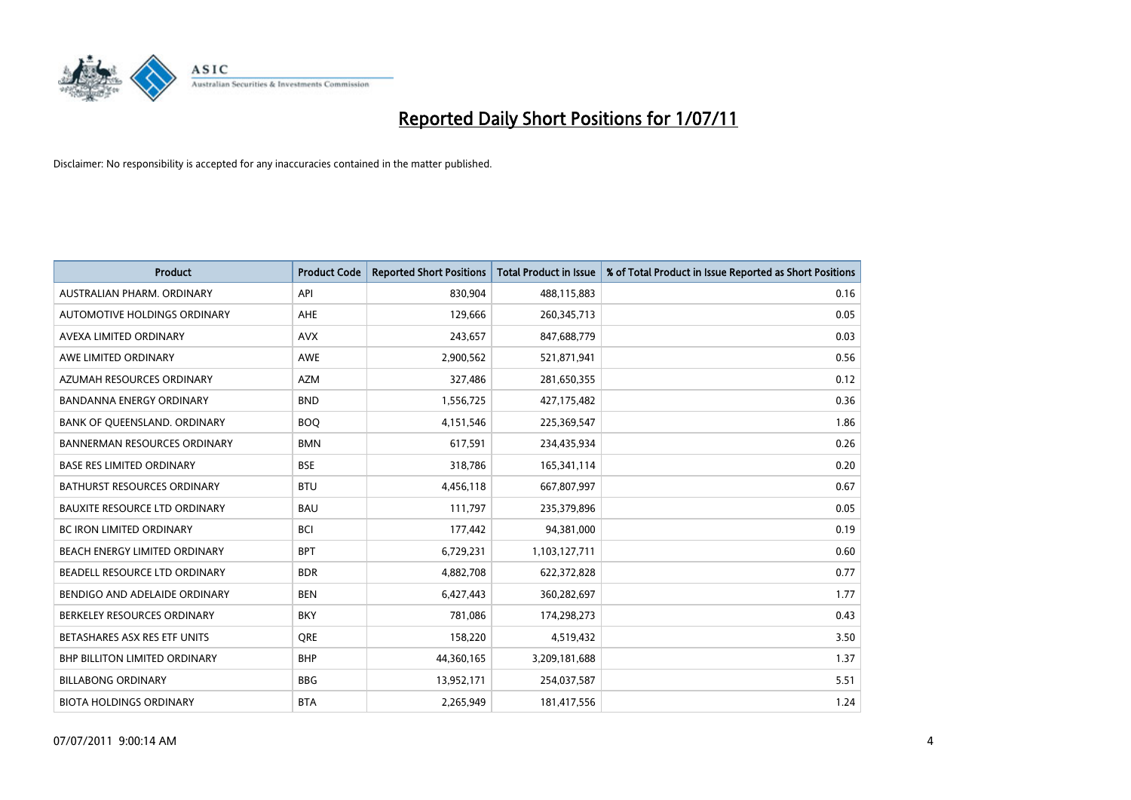

| <b>Product</b>                       | <b>Product Code</b> | <b>Reported Short Positions</b> | <b>Total Product in Issue</b> | % of Total Product in Issue Reported as Short Positions |
|--------------------------------------|---------------------|---------------------------------|-------------------------------|---------------------------------------------------------|
| AUSTRALIAN PHARM, ORDINARY           | API                 | 830.904                         | 488,115,883                   | 0.16                                                    |
| AUTOMOTIVE HOLDINGS ORDINARY         | <b>AHE</b>          | 129,666                         | 260,345,713                   | 0.05                                                    |
| AVEXA LIMITED ORDINARY               | <b>AVX</b>          | 243,657                         | 847,688,779                   | 0.03                                                    |
| AWE LIMITED ORDINARY                 | <b>AWE</b>          | 2,900,562                       | 521,871,941                   | 0.56                                                    |
| AZUMAH RESOURCES ORDINARY            | <b>AZM</b>          | 327,486                         | 281,650,355                   | 0.12                                                    |
| <b>BANDANNA ENERGY ORDINARY</b>      | <b>BND</b>          | 1,556,725                       | 427,175,482                   | 0.36                                                    |
| BANK OF QUEENSLAND. ORDINARY         | <b>BOO</b>          | 4,151,546                       | 225,369,547                   | 1.86                                                    |
| <b>BANNERMAN RESOURCES ORDINARY</b>  | <b>BMN</b>          | 617.591                         | 234,435,934                   | 0.26                                                    |
| <b>BASE RES LIMITED ORDINARY</b>     | <b>BSE</b>          | 318,786                         | 165,341,114                   | 0.20                                                    |
| <b>BATHURST RESOURCES ORDINARY</b>   | <b>BTU</b>          | 4,456,118                       | 667,807,997                   | 0.67                                                    |
| <b>BAUXITE RESOURCE LTD ORDINARY</b> | <b>BAU</b>          | 111,797                         | 235,379,896                   | 0.05                                                    |
| <b>BC IRON LIMITED ORDINARY</b>      | <b>BCI</b>          | 177,442                         | 94,381,000                    | 0.19                                                    |
| BEACH ENERGY LIMITED ORDINARY        | <b>BPT</b>          | 6,729,231                       | 1,103,127,711                 | 0.60                                                    |
| BEADELL RESOURCE LTD ORDINARY        | <b>BDR</b>          | 4,882,708                       | 622,372,828                   | 0.77                                                    |
| BENDIGO AND ADELAIDE ORDINARY        | <b>BEN</b>          | 6,427,443                       | 360,282,697                   | 1.77                                                    |
| BERKELEY RESOURCES ORDINARY          | <b>BKY</b>          | 781,086                         | 174,298,273                   | 0.43                                                    |
| BETASHARES ASX RES ETF UNITS         | <b>ORE</b>          | 158,220                         | 4,519,432                     | 3.50                                                    |
| <b>BHP BILLITON LIMITED ORDINARY</b> | <b>BHP</b>          | 44,360,165                      | 3,209,181,688                 | 1.37                                                    |
| <b>BILLABONG ORDINARY</b>            | <b>BBG</b>          | 13,952,171                      | 254,037,587                   | 5.51                                                    |
| <b>BIOTA HOLDINGS ORDINARY</b>       | <b>BTA</b>          | 2,265,949                       | 181,417,556                   | 1.24                                                    |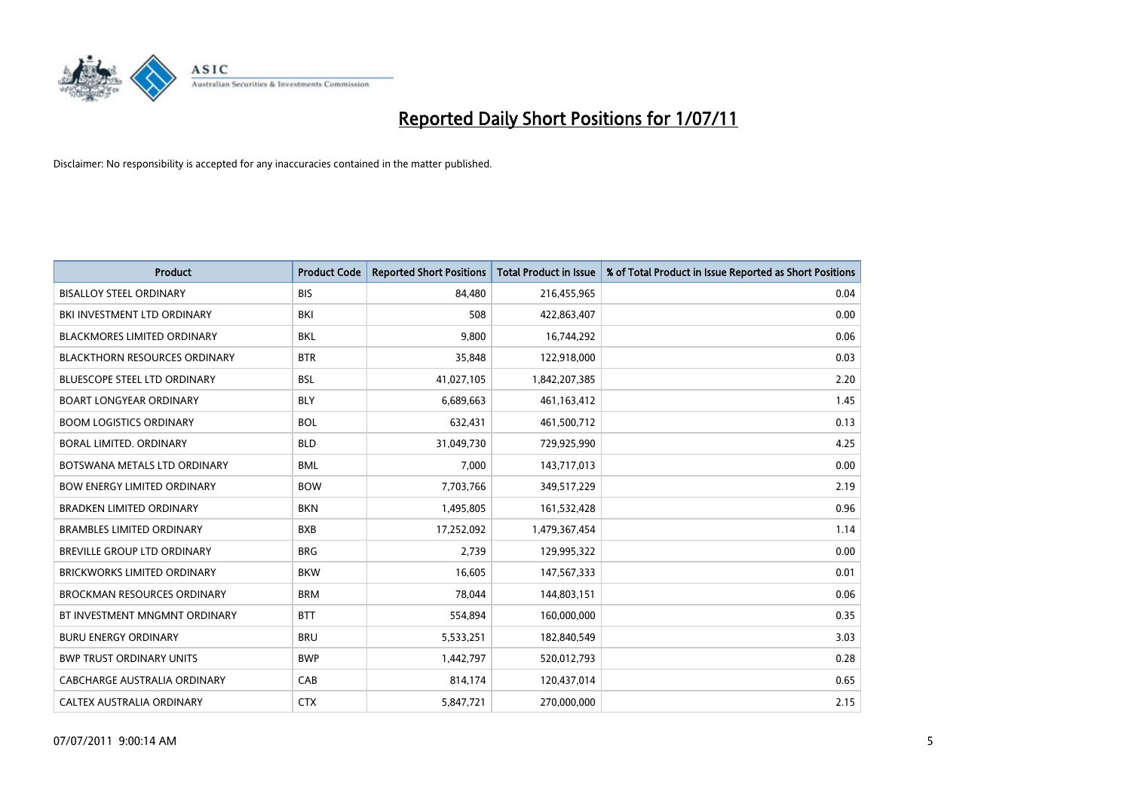

| <b>Product</b>                       | <b>Product Code</b> | <b>Reported Short Positions</b> | <b>Total Product in Issue</b> | % of Total Product in Issue Reported as Short Positions |
|--------------------------------------|---------------------|---------------------------------|-------------------------------|---------------------------------------------------------|
| <b>BISALLOY STEEL ORDINARY</b>       | <b>BIS</b>          | 84.480                          | 216,455,965                   | 0.04                                                    |
| BKI INVESTMENT LTD ORDINARY          | BKI                 | 508                             | 422,863,407                   | 0.00                                                    |
| <b>BLACKMORES LIMITED ORDINARY</b>   | <b>BKL</b>          | 9.800                           | 16,744,292                    | 0.06                                                    |
| <b>BLACKTHORN RESOURCES ORDINARY</b> | <b>BTR</b>          | 35,848                          | 122,918,000                   | 0.03                                                    |
| <b>BLUESCOPE STEEL LTD ORDINARY</b>  | <b>BSL</b>          | 41,027,105                      | 1,842,207,385                 | 2.20                                                    |
| <b>BOART LONGYEAR ORDINARY</b>       | <b>BLY</b>          | 6,689,663                       | 461,163,412                   | 1.45                                                    |
| <b>BOOM LOGISTICS ORDINARY</b>       | <b>BOL</b>          | 632,431                         | 461,500,712                   | 0.13                                                    |
| BORAL LIMITED. ORDINARY              | <b>BLD</b>          | 31,049,730                      | 729,925,990                   | 4.25                                                    |
| BOTSWANA METALS LTD ORDINARY         | <b>BML</b>          | 7.000                           | 143,717,013                   | 0.00                                                    |
| <b>BOW ENERGY LIMITED ORDINARY</b>   | <b>BOW</b>          | 7,703,766                       | 349,517,229                   | 2.19                                                    |
| <b>BRADKEN LIMITED ORDINARY</b>      | <b>BKN</b>          | 1,495,805                       | 161,532,428                   | 0.96                                                    |
| <b>BRAMBLES LIMITED ORDINARY</b>     | <b>BXB</b>          | 17,252,092                      | 1,479,367,454                 | 1.14                                                    |
| BREVILLE GROUP LTD ORDINARY          | <b>BRG</b>          | 2,739                           | 129,995,322                   | 0.00                                                    |
| <b>BRICKWORKS LIMITED ORDINARY</b>   | <b>BKW</b>          | 16,605                          | 147,567,333                   | 0.01                                                    |
| <b>BROCKMAN RESOURCES ORDINARY</b>   | <b>BRM</b>          | 78.044                          | 144,803,151                   | 0.06                                                    |
| BT INVESTMENT MNGMNT ORDINARY        | <b>BTT</b>          | 554,894                         | 160,000,000                   | 0.35                                                    |
| <b>BURU ENERGY ORDINARY</b>          | <b>BRU</b>          | 5,533,251                       | 182,840,549                   | 3.03                                                    |
| <b>BWP TRUST ORDINARY UNITS</b>      | <b>BWP</b>          | 1,442,797                       | 520,012,793                   | 0.28                                                    |
| CABCHARGE AUSTRALIA ORDINARY         | CAB                 | 814,174                         | 120,437,014                   | 0.65                                                    |
| CALTEX AUSTRALIA ORDINARY            | <b>CTX</b>          | 5,847,721                       | 270,000,000                   | 2.15                                                    |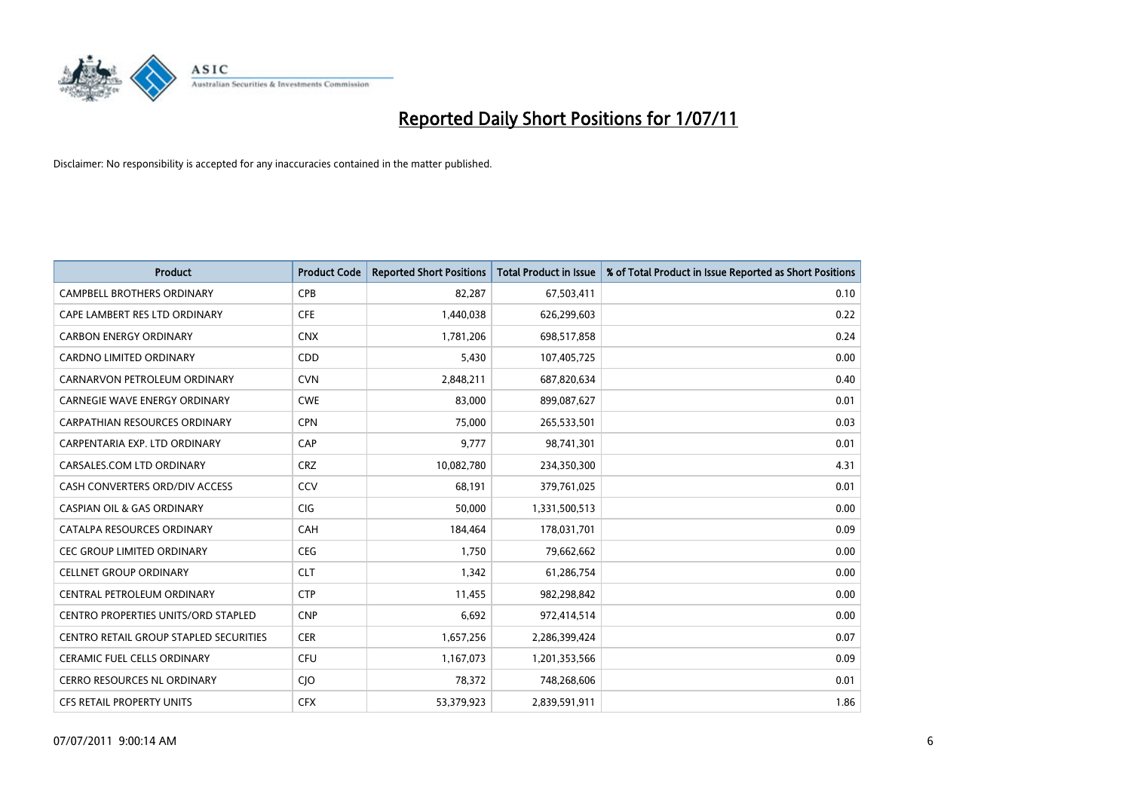

| <b>Product</b>                                | <b>Product Code</b> | <b>Reported Short Positions</b> | <b>Total Product in Issue</b> | % of Total Product in Issue Reported as Short Positions |
|-----------------------------------------------|---------------------|---------------------------------|-------------------------------|---------------------------------------------------------|
| <b>CAMPBELL BROTHERS ORDINARY</b>             | CPB                 | 82,287                          | 67,503,411                    | 0.10                                                    |
| CAPE LAMBERT RES LTD ORDINARY                 | <b>CFE</b>          | 1,440,038                       | 626,299,603                   | 0.22                                                    |
| <b>CARBON ENERGY ORDINARY</b>                 | <b>CNX</b>          | 1,781,206                       | 698,517,858                   | 0.24                                                    |
| CARDNO LIMITED ORDINARY                       | CDD                 | 5,430                           | 107,405,725                   | 0.00                                                    |
| CARNARVON PETROLEUM ORDINARY                  | <b>CVN</b>          | 2,848,211                       | 687,820,634                   | 0.40                                                    |
| <b>CARNEGIE WAVE ENERGY ORDINARY</b>          | <b>CWE</b>          | 83,000                          | 899,087,627                   | 0.01                                                    |
| <b>CARPATHIAN RESOURCES ORDINARY</b>          | <b>CPN</b>          | 75.000                          | 265,533,501                   | 0.03                                                    |
| CARPENTARIA EXP. LTD ORDINARY                 | CAP                 | 9,777                           | 98,741,301                    | 0.01                                                    |
| CARSALES.COM LTD ORDINARY                     | <b>CRZ</b>          | 10,082,780                      | 234,350,300                   | 4.31                                                    |
| CASH CONVERTERS ORD/DIV ACCESS                | CCV                 | 68,191                          | 379,761,025                   | 0.01                                                    |
| <b>CASPIAN OIL &amp; GAS ORDINARY</b>         | <b>CIG</b>          | 50,000                          | 1,331,500,513                 | 0.00                                                    |
| CATALPA RESOURCES ORDINARY                    | CAH                 | 184,464                         | 178,031,701                   | 0.09                                                    |
| <b>CEC GROUP LIMITED ORDINARY</b>             | <b>CEG</b>          | 1,750                           | 79,662,662                    | 0.00                                                    |
| <b>CELLNET GROUP ORDINARY</b>                 | <b>CLT</b>          | 1,342                           | 61,286,754                    | 0.00                                                    |
| CENTRAL PETROLEUM ORDINARY                    | <b>CTP</b>          | 11,455                          | 982,298,842                   | 0.00                                                    |
| CENTRO PROPERTIES UNITS/ORD STAPLED           | <b>CNP</b>          | 6,692                           | 972,414,514                   | 0.00                                                    |
| <b>CENTRO RETAIL GROUP STAPLED SECURITIES</b> | <b>CER</b>          | 1,657,256                       | 2,286,399,424                 | 0.07                                                    |
| CERAMIC FUEL CELLS ORDINARY                   | CFU                 | 1,167,073                       | 1,201,353,566                 | 0.09                                                    |
| <b>CERRO RESOURCES NL ORDINARY</b>            | <b>CIO</b>          | 78,372                          | 748,268,606                   | 0.01                                                    |
| <b>CFS RETAIL PROPERTY UNITS</b>              | <b>CFX</b>          | 53,379,923                      | 2,839,591,911                 | 1.86                                                    |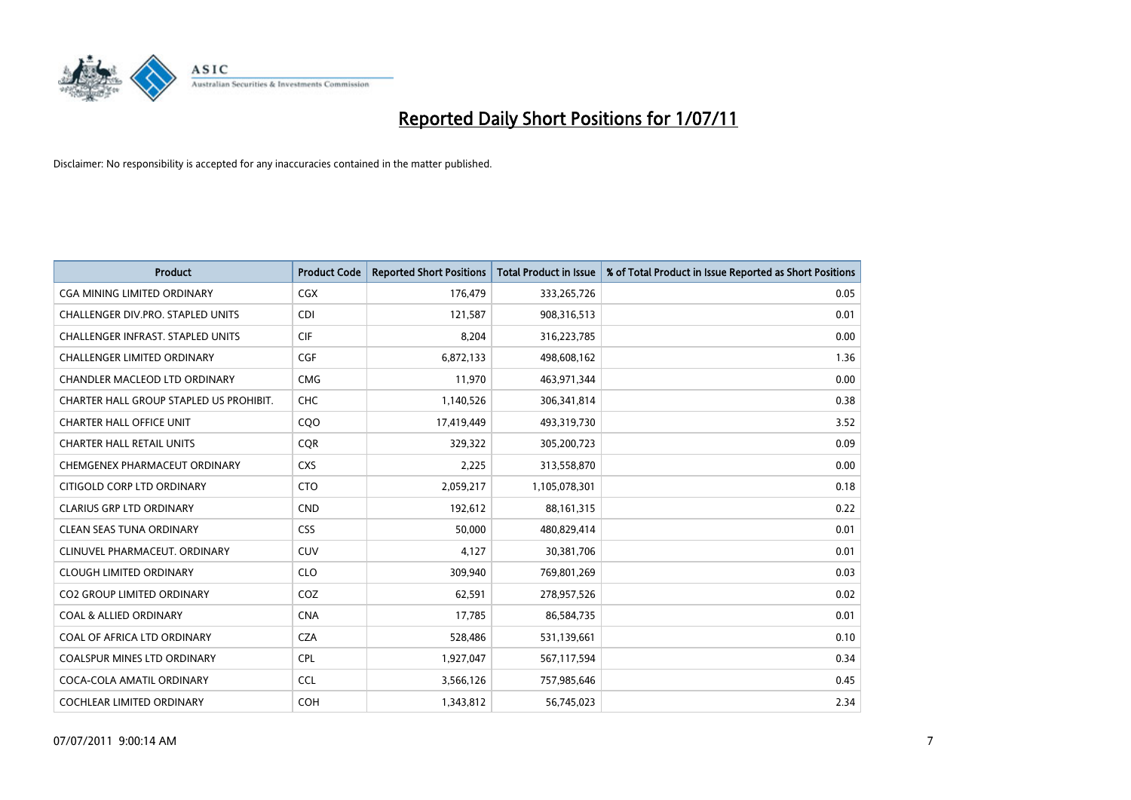

| <b>Product</b>                           | <b>Product Code</b> | <b>Reported Short Positions</b> | Total Product in Issue | % of Total Product in Issue Reported as Short Positions |
|------------------------------------------|---------------------|---------------------------------|------------------------|---------------------------------------------------------|
| <b>CGA MINING LIMITED ORDINARY</b>       | <b>CGX</b>          | 176,479                         | 333,265,726            | 0.05                                                    |
| CHALLENGER DIV.PRO. STAPLED UNITS        | <b>CDI</b>          | 121,587                         | 908,316,513            | 0.01                                                    |
| <b>CHALLENGER INFRAST, STAPLED UNITS</b> | <b>CIF</b>          | 8,204                           | 316,223,785            | 0.00                                                    |
| CHALLENGER LIMITED ORDINARY              | <b>CGF</b>          | 6,872,133                       | 498,608,162            | 1.36                                                    |
| CHANDLER MACLEOD LTD ORDINARY            | <b>CMG</b>          | 11,970                          | 463,971,344            | 0.00                                                    |
| CHARTER HALL GROUP STAPLED US PROHIBIT.  | <b>CHC</b>          | 1,140,526                       | 306,341,814            | 0.38                                                    |
| <b>CHARTER HALL OFFICE UNIT</b>          | COO                 | 17,419,449                      | 493,319,730            | 3.52                                                    |
| <b>CHARTER HALL RETAIL UNITS</b>         | <b>CQR</b>          | 329,322                         | 305,200,723            | 0.09                                                    |
| CHEMGENEX PHARMACEUT ORDINARY            | <b>CXS</b>          | 2,225                           | 313,558,870            | 0.00                                                    |
| CITIGOLD CORP LTD ORDINARY               | <b>CTO</b>          | 2,059,217                       | 1,105,078,301          | 0.18                                                    |
| CLARIUS GRP LTD ORDINARY                 | <b>CND</b>          | 192,612                         | 88,161,315             | 0.22                                                    |
| <b>CLEAN SEAS TUNA ORDINARY</b>          | <b>CSS</b>          | 50,000                          | 480,829,414            | 0.01                                                    |
| CLINUVEL PHARMACEUT, ORDINARY            | <b>CUV</b>          | 4,127                           | 30,381,706             | 0.01                                                    |
| <b>CLOUGH LIMITED ORDINARY</b>           | <b>CLO</b>          | 309,940                         | 769,801,269            | 0.03                                                    |
| <b>CO2 GROUP LIMITED ORDINARY</b>        | COZ                 | 62,591                          | 278,957,526            | 0.02                                                    |
| <b>COAL &amp; ALLIED ORDINARY</b>        | <b>CNA</b>          | 17,785                          | 86,584,735             | 0.01                                                    |
| COAL OF AFRICA LTD ORDINARY              | <b>CZA</b>          | 528,486                         | 531,139,661            | 0.10                                                    |
| COALSPUR MINES LTD ORDINARY              | <b>CPL</b>          | 1,927,047                       | 567,117,594            | 0.34                                                    |
| COCA-COLA AMATIL ORDINARY                | <b>CCL</b>          | 3,566,126                       | 757,985,646            | 0.45                                                    |
| COCHLEAR LIMITED ORDINARY                | <b>COH</b>          | 1,343,812                       | 56,745,023             | 2.34                                                    |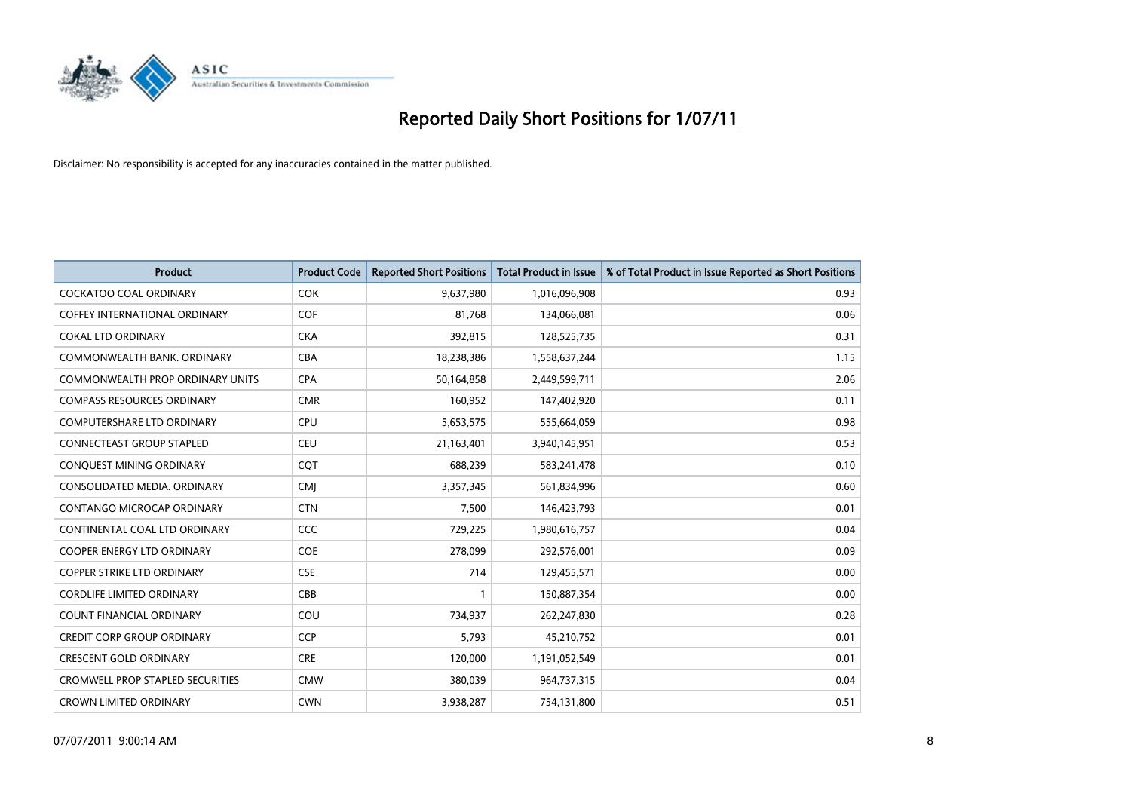

| <b>Product</b>                          | <b>Product Code</b> | <b>Reported Short Positions</b> | Total Product in Issue | % of Total Product in Issue Reported as Short Positions |
|-----------------------------------------|---------------------|---------------------------------|------------------------|---------------------------------------------------------|
| <b>COCKATOO COAL ORDINARY</b>           | <b>COK</b>          | 9,637,980                       | 1,016,096,908          | 0.93                                                    |
| COFFEY INTERNATIONAL ORDINARY           | COF                 | 81,768                          | 134,066,081            | 0.06                                                    |
| <b>COKAL LTD ORDINARY</b>               | <b>CKA</b>          | 392,815                         | 128,525,735            | 0.31                                                    |
| COMMONWEALTH BANK, ORDINARY             | <b>CBA</b>          | 18,238,386                      | 1,558,637,244          | 1.15                                                    |
| <b>COMMONWEALTH PROP ORDINARY UNITS</b> | <b>CPA</b>          | 50,164,858                      | 2,449,599,711          | 2.06                                                    |
| <b>COMPASS RESOURCES ORDINARY</b>       | <b>CMR</b>          | 160,952                         | 147,402,920            | 0.11                                                    |
| <b>COMPUTERSHARE LTD ORDINARY</b>       | CPU                 | 5,653,575                       | 555,664,059            | 0.98                                                    |
| <b>CONNECTEAST GROUP STAPLED</b>        | <b>CEU</b>          | 21,163,401                      | 3,940,145,951          | 0.53                                                    |
| CONQUEST MINING ORDINARY                | <b>COT</b>          | 688,239                         | 583,241,478            | 0.10                                                    |
| CONSOLIDATED MEDIA, ORDINARY            | <b>CMI</b>          | 3,357,345                       | 561,834,996            | 0.60                                                    |
| CONTANGO MICROCAP ORDINARY              | <b>CTN</b>          | 7,500                           | 146,423,793            | 0.01                                                    |
| CONTINENTAL COAL LTD ORDINARY           | CCC                 | 729,225                         | 1,980,616,757          | 0.04                                                    |
| <b>COOPER ENERGY LTD ORDINARY</b>       | <b>COE</b>          | 278,099                         | 292,576,001            | 0.09                                                    |
| <b>COPPER STRIKE LTD ORDINARY</b>       | <b>CSE</b>          | 714                             | 129,455,571            | 0.00                                                    |
| <b>CORDLIFE LIMITED ORDINARY</b>        | CBB                 |                                 | 150,887,354            | 0.00                                                    |
| COUNT FINANCIAL ORDINARY                | COU                 | 734,937                         | 262,247,830            | 0.28                                                    |
| <b>CREDIT CORP GROUP ORDINARY</b>       | <b>CCP</b>          | 5,793                           | 45,210,752             | 0.01                                                    |
| <b>CRESCENT GOLD ORDINARY</b>           | <b>CRE</b>          | 120,000                         | 1,191,052,549          | 0.01                                                    |
| <b>CROMWELL PROP STAPLED SECURITIES</b> | <b>CMW</b>          | 380,039                         | 964,737,315            | 0.04                                                    |
| <b>CROWN LIMITED ORDINARY</b>           | <b>CWN</b>          | 3,938,287                       | 754,131,800            | 0.51                                                    |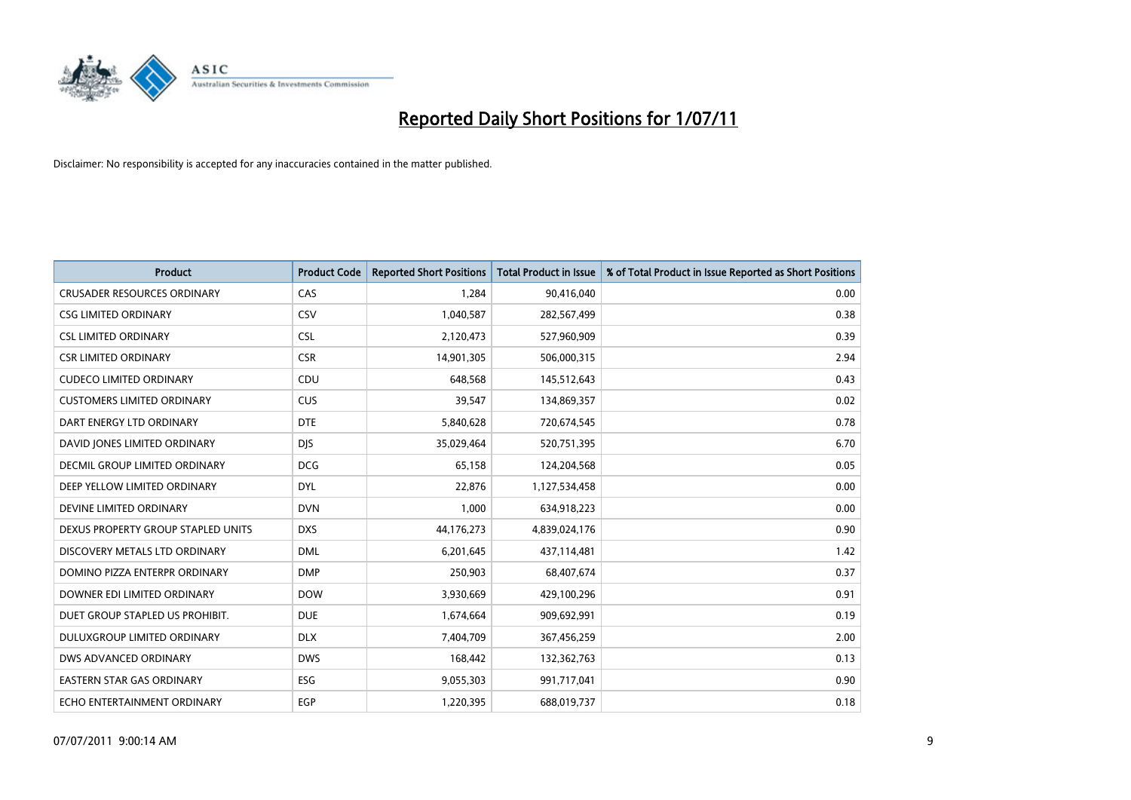

| <b>Product</b>                     | <b>Product Code</b> | <b>Reported Short Positions</b> | <b>Total Product in Issue</b> | % of Total Product in Issue Reported as Short Positions |
|------------------------------------|---------------------|---------------------------------|-------------------------------|---------------------------------------------------------|
| <b>CRUSADER RESOURCES ORDINARY</b> | CAS                 | 1.284                           | 90,416,040                    | 0.00                                                    |
| <b>CSG LIMITED ORDINARY</b>        | CSV                 | 1,040,587                       | 282,567,499                   | 0.38                                                    |
| <b>CSL LIMITED ORDINARY</b>        | <b>CSL</b>          | 2,120,473                       | 527,960,909                   | 0.39                                                    |
| <b>CSR LIMITED ORDINARY</b>        | <b>CSR</b>          | 14,901,305                      | 506,000,315                   | 2.94                                                    |
| <b>CUDECO LIMITED ORDINARY</b>     | CDU                 | 648,568                         | 145,512,643                   | 0.43                                                    |
| <b>CUSTOMERS LIMITED ORDINARY</b>  | CUS                 | 39,547                          | 134,869,357                   | 0.02                                                    |
| DART ENERGY LTD ORDINARY           | <b>DTE</b>          | 5,840,628                       | 720,674,545                   | 0.78                                                    |
| DAVID JONES LIMITED ORDINARY       | <b>DJS</b>          | 35,029,464                      | 520,751,395                   | 6.70                                                    |
| DECMIL GROUP LIMITED ORDINARY      | <b>DCG</b>          | 65,158                          | 124,204,568                   | 0.05                                                    |
| DEEP YELLOW LIMITED ORDINARY       | <b>DYL</b>          | 22,876                          | 1,127,534,458                 | 0.00                                                    |
| DEVINE LIMITED ORDINARY            | <b>DVN</b>          | 1,000                           | 634,918,223                   | 0.00                                                    |
| DEXUS PROPERTY GROUP STAPLED UNITS | <b>DXS</b>          | 44,176,273                      | 4,839,024,176                 | 0.90                                                    |
| DISCOVERY METALS LTD ORDINARY      | <b>DML</b>          | 6,201,645                       | 437,114,481                   | 1.42                                                    |
| DOMINO PIZZA ENTERPR ORDINARY      | <b>DMP</b>          | 250,903                         | 68,407,674                    | 0.37                                                    |
| DOWNER EDI LIMITED ORDINARY        | <b>DOW</b>          | 3,930,669                       | 429,100,296                   | 0.91                                                    |
| DUET GROUP STAPLED US PROHIBIT.    | <b>DUE</b>          | 1,674,664                       | 909,692,991                   | 0.19                                                    |
| DULUXGROUP LIMITED ORDINARY        | <b>DLX</b>          | 7,404,709                       | 367,456,259                   | 2.00                                                    |
| DWS ADVANCED ORDINARY              | <b>DWS</b>          | 168,442                         | 132,362,763                   | 0.13                                                    |
| <b>EASTERN STAR GAS ORDINARY</b>   | <b>ESG</b>          | 9,055,303                       | 991,717,041                   | 0.90                                                    |
| ECHO ENTERTAINMENT ORDINARY        | EGP                 | 1.220.395                       | 688,019,737                   | 0.18                                                    |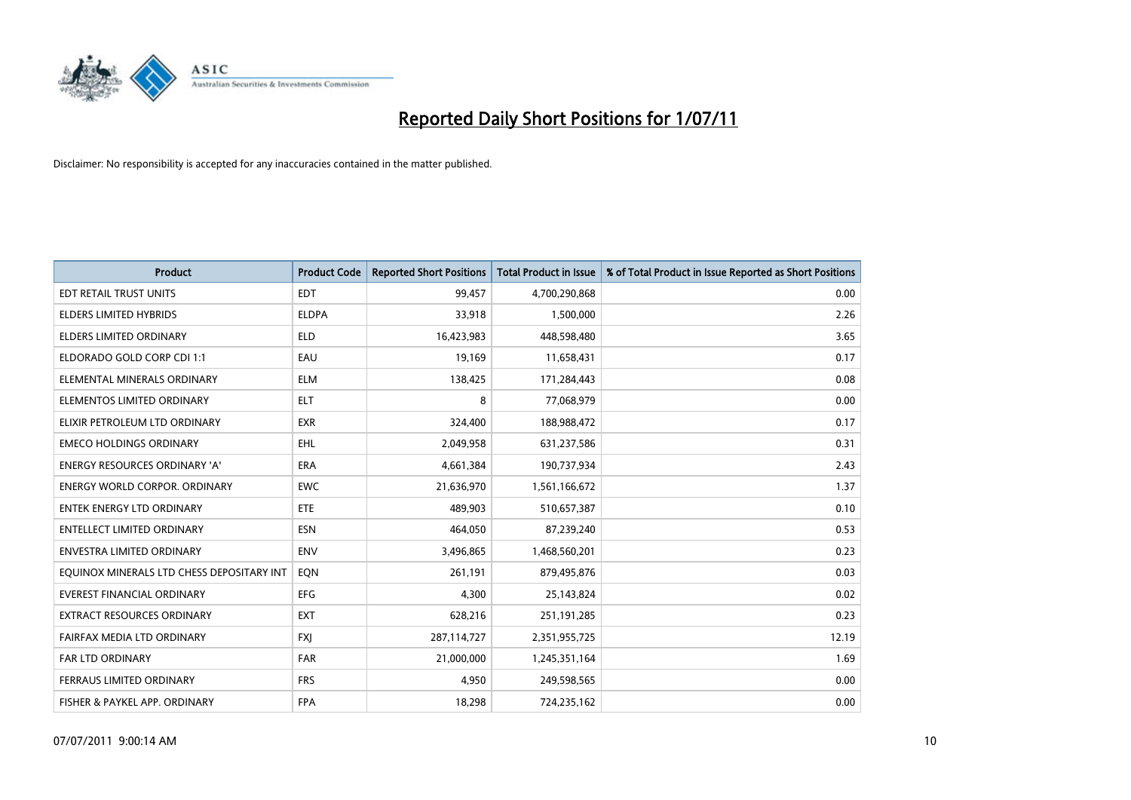

| <b>Product</b>                            | <b>Product Code</b> | <b>Reported Short Positions</b> | Total Product in Issue | % of Total Product in Issue Reported as Short Positions |
|-------------------------------------------|---------------------|---------------------------------|------------------------|---------------------------------------------------------|
| <b>EDT RETAIL TRUST UNITS</b>             | <b>EDT</b>          | 99,457                          | 4,700,290,868          | 0.00                                                    |
| ELDERS LIMITED HYBRIDS                    | <b>ELDPA</b>        | 33,918                          | 1,500,000              | 2.26                                                    |
| <b>ELDERS LIMITED ORDINARY</b>            | <b>ELD</b>          | 16,423,983                      | 448,598,480            | 3.65                                                    |
| ELDORADO GOLD CORP CDI 1:1                | EAU                 | 19,169                          | 11,658,431             | 0.17                                                    |
| ELEMENTAL MINERALS ORDINARY               | <b>ELM</b>          | 138,425                         | 171,284,443            | 0.08                                                    |
| ELEMENTOS LIMITED ORDINARY                | <b>ELT</b>          | 8                               | 77,068,979             | 0.00                                                    |
| ELIXIR PETROLEUM LTD ORDINARY             | <b>EXR</b>          | 324,400                         | 188,988,472            | 0.17                                                    |
| <b>EMECO HOLDINGS ORDINARY</b>            | EHL                 | 2,049,958                       | 631,237,586            | 0.31                                                    |
| <b>ENERGY RESOURCES ORDINARY 'A'</b>      | ERA                 | 4,661,384                       | 190,737,934            | 2.43                                                    |
| <b>ENERGY WORLD CORPOR, ORDINARY</b>      | <b>EWC</b>          | 21,636,970                      | 1,561,166,672          | 1.37                                                    |
| <b>ENTEK ENERGY LTD ORDINARY</b>          | <b>ETE</b>          | 489,903                         | 510,657,387            | 0.10                                                    |
| <b>ENTELLECT LIMITED ORDINARY</b>         | <b>ESN</b>          | 464,050                         | 87,239,240             | 0.53                                                    |
| <b>ENVESTRA LIMITED ORDINARY</b>          | <b>ENV</b>          | 3,496,865                       | 1,468,560,201          | 0.23                                                    |
| EQUINOX MINERALS LTD CHESS DEPOSITARY INT | EON                 | 261,191                         | 879,495,876            | 0.03                                                    |
| <b>EVEREST FINANCIAL ORDINARY</b>         | <b>EFG</b>          | 4,300                           | 25,143,824             | 0.02                                                    |
| EXTRACT RESOURCES ORDINARY                | <b>EXT</b>          | 628,216                         | 251,191,285            | 0.23                                                    |
| FAIRFAX MEDIA LTD ORDINARY                | <b>FXI</b>          | 287,114,727                     | 2,351,955,725          | 12.19                                                   |
| <b>FAR LTD ORDINARY</b>                   | <b>FAR</b>          | 21,000,000                      | 1,245,351,164          | 1.69                                                    |
| FERRAUS LIMITED ORDINARY                  | <b>FRS</b>          | 4,950                           | 249,598,565            | 0.00                                                    |
| FISHER & PAYKEL APP. ORDINARY             | <b>FPA</b>          | 18,298                          | 724,235,162            | 0.00                                                    |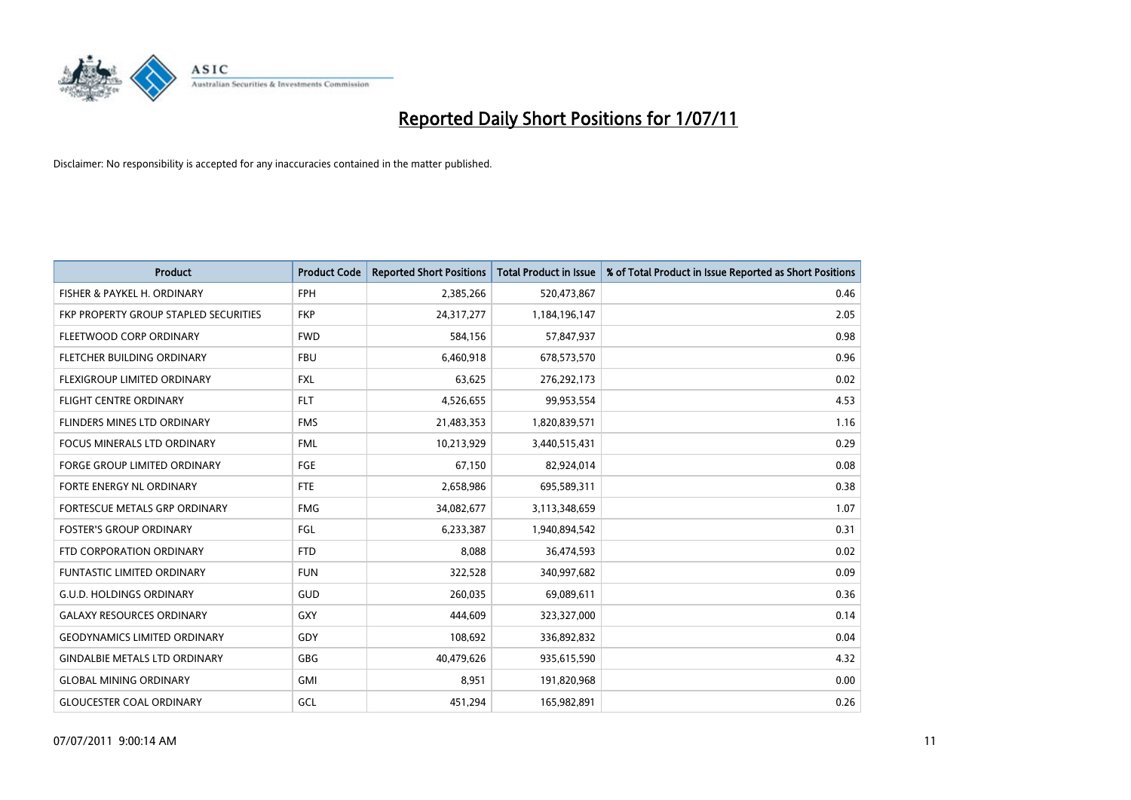

| <b>Product</b>                        | <b>Product Code</b> | <b>Reported Short Positions</b> | <b>Total Product in Issue</b> | % of Total Product in Issue Reported as Short Positions |
|---------------------------------------|---------------------|---------------------------------|-------------------------------|---------------------------------------------------------|
| FISHER & PAYKEL H. ORDINARY           | <b>FPH</b>          | 2,385,266                       | 520,473,867                   | 0.46                                                    |
| FKP PROPERTY GROUP STAPLED SECURITIES | <b>FKP</b>          | 24,317,277                      | 1,184,196,147                 | 2.05                                                    |
| FLEETWOOD CORP ORDINARY               | <b>FWD</b>          | 584,156                         | 57,847,937                    | 0.98                                                    |
| FLETCHER BUILDING ORDINARY            | <b>FBU</b>          | 6,460,918                       | 678,573,570                   | 0.96                                                    |
| FLEXIGROUP LIMITED ORDINARY           | <b>FXL</b>          | 63,625                          | 276,292,173                   | 0.02                                                    |
| <b>FLIGHT CENTRE ORDINARY</b>         | <b>FLT</b>          | 4,526,655                       | 99,953,554                    | 4.53                                                    |
| FLINDERS MINES LTD ORDINARY           | <b>FMS</b>          | 21,483,353                      | 1,820,839,571                 | 1.16                                                    |
| <b>FOCUS MINERALS LTD ORDINARY</b>    | <b>FML</b>          | 10,213,929                      | 3,440,515,431                 | 0.29                                                    |
| FORGE GROUP LIMITED ORDINARY          | FGE                 | 67,150                          | 82,924,014                    | 0.08                                                    |
| FORTE ENERGY NL ORDINARY              | <b>FTE</b>          | 2,658,986                       | 695,589,311                   | 0.38                                                    |
| FORTESCUE METALS GRP ORDINARY         | <b>FMG</b>          | 34,082,677                      | 3,113,348,659                 | 1.07                                                    |
| <b>FOSTER'S GROUP ORDINARY</b>        | FGL                 | 6,233,387                       | 1,940,894,542                 | 0.31                                                    |
| FTD CORPORATION ORDINARY              | <b>FTD</b>          | 8,088                           | 36,474,593                    | 0.02                                                    |
| <b>FUNTASTIC LIMITED ORDINARY</b>     | <b>FUN</b>          | 322,528                         | 340,997,682                   | 0.09                                                    |
| <b>G.U.D. HOLDINGS ORDINARY</b>       | <b>GUD</b>          | 260,035                         | 69,089,611                    | 0.36                                                    |
| <b>GALAXY RESOURCES ORDINARY</b>      | GXY                 | 444,609                         | 323,327,000                   | 0.14                                                    |
| <b>GEODYNAMICS LIMITED ORDINARY</b>   | GDY                 | 108,692                         | 336,892,832                   | 0.04                                                    |
| <b>GINDALBIE METALS LTD ORDINARY</b>  | <b>GBG</b>          | 40,479,626                      | 935,615,590                   | 4.32                                                    |
| <b>GLOBAL MINING ORDINARY</b>         | GMI                 | 8,951                           | 191,820,968                   | 0.00                                                    |
| <b>GLOUCESTER COAL ORDINARY</b>       | GCL                 | 451,294                         | 165,982,891                   | 0.26                                                    |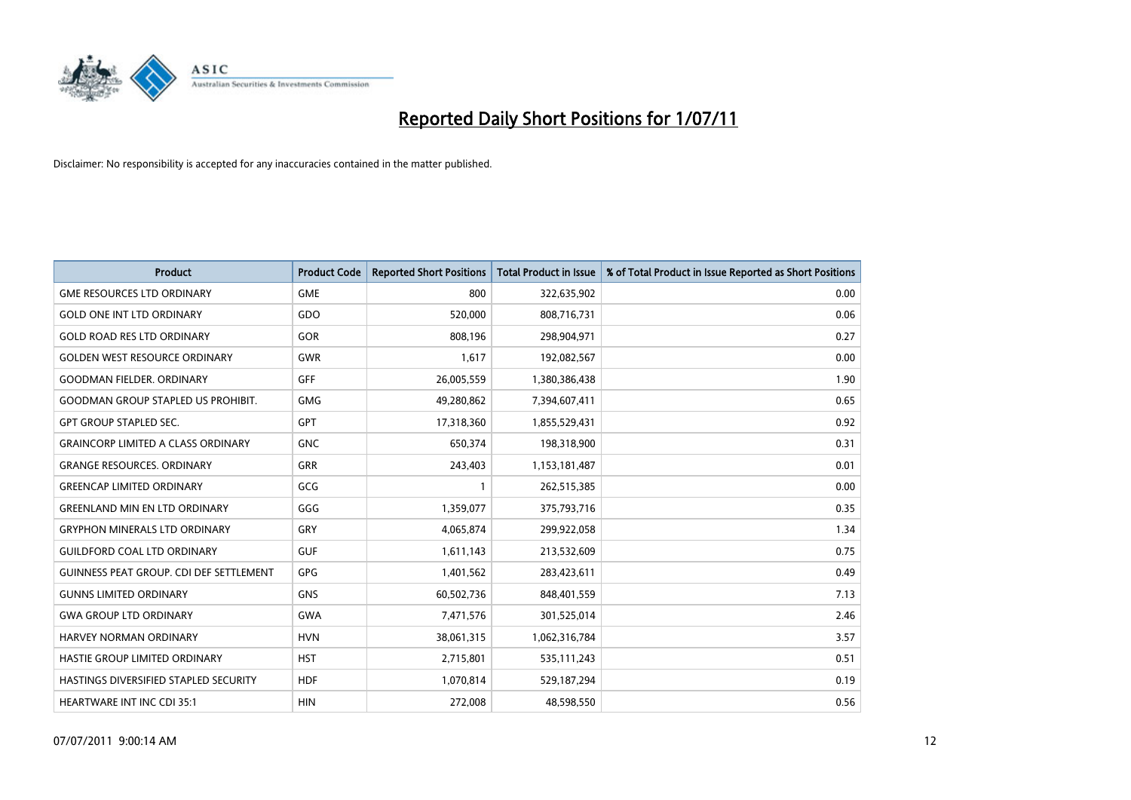

| <b>Product</b>                                 | <b>Product Code</b> | <b>Reported Short Positions</b> | <b>Total Product in Issue</b> | % of Total Product in Issue Reported as Short Positions |
|------------------------------------------------|---------------------|---------------------------------|-------------------------------|---------------------------------------------------------|
| <b>GME RESOURCES LTD ORDINARY</b>              | <b>GME</b>          | 800                             | 322,635,902                   | 0.00                                                    |
| <b>GOLD ONE INT LTD ORDINARY</b>               | GDO                 | 520,000                         | 808,716,731                   | 0.06                                                    |
| <b>GOLD ROAD RES LTD ORDINARY</b>              | <b>GOR</b>          | 808,196                         | 298,904,971                   | 0.27                                                    |
| <b>GOLDEN WEST RESOURCE ORDINARY</b>           | <b>GWR</b>          | 1,617                           | 192,082,567                   | 0.00                                                    |
| <b>GOODMAN FIELDER, ORDINARY</b>               | <b>GFF</b>          | 26,005,559                      | 1,380,386,438                 | 1.90                                                    |
| <b>GOODMAN GROUP STAPLED US PROHIBIT.</b>      | <b>GMG</b>          | 49,280,862                      | 7,394,607,411                 | 0.65                                                    |
| <b>GPT GROUP STAPLED SEC.</b>                  | <b>GPT</b>          | 17,318,360                      | 1,855,529,431                 | 0.92                                                    |
| <b>GRAINCORP LIMITED A CLASS ORDINARY</b>      | <b>GNC</b>          | 650,374                         | 198,318,900                   | 0.31                                                    |
| <b>GRANGE RESOURCES. ORDINARY</b>              | <b>GRR</b>          | 243,403                         | 1,153,181,487                 | 0.01                                                    |
| <b>GREENCAP LIMITED ORDINARY</b>               | GCG                 |                                 | 262,515,385                   | 0.00                                                    |
| <b>GREENLAND MIN EN LTD ORDINARY</b>           | GGG                 | 1,359,077                       | 375,793,716                   | 0.35                                                    |
| <b>GRYPHON MINERALS LTD ORDINARY</b>           | GRY                 | 4,065,874                       | 299,922,058                   | 1.34                                                    |
| <b>GUILDFORD COAL LTD ORDINARY</b>             | <b>GUF</b>          | 1,611,143                       | 213,532,609                   | 0.75                                                    |
| <b>GUINNESS PEAT GROUP. CDI DEF SETTLEMENT</b> | <b>GPG</b>          | 1,401,562                       | 283,423,611                   | 0.49                                                    |
| <b>GUNNS LIMITED ORDINARY</b>                  | <b>GNS</b>          | 60,502,736                      | 848,401,559                   | 7.13                                                    |
| <b>GWA GROUP LTD ORDINARY</b>                  | <b>GWA</b>          | 7,471,576                       | 301,525,014                   | 2.46                                                    |
| <b>HARVEY NORMAN ORDINARY</b>                  | <b>HVN</b>          | 38,061,315                      | 1,062,316,784                 | 3.57                                                    |
| HASTIE GROUP LIMITED ORDINARY                  | <b>HST</b>          | 2,715,801                       | 535, 111, 243                 | 0.51                                                    |
| HASTINGS DIVERSIFIED STAPLED SECURITY          | <b>HDF</b>          | 1,070,814                       | 529,187,294                   | 0.19                                                    |
| <b>HEARTWARE INT INC CDI 35:1</b>              | <b>HIN</b>          | 272,008                         | 48,598,550                    | 0.56                                                    |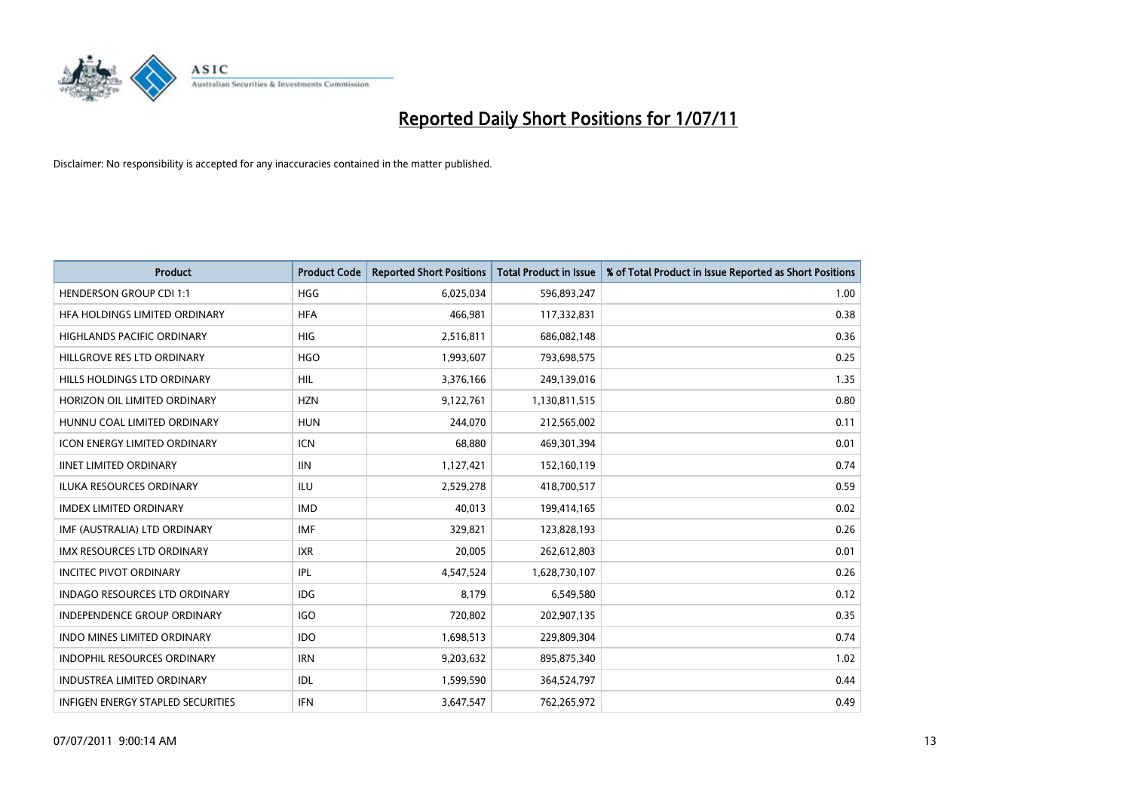

| <b>Product</b>                           | <b>Product Code</b> | <b>Reported Short Positions</b> | Total Product in Issue | % of Total Product in Issue Reported as Short Positions |
|------------------------------------------|---------------------|---------------------------------|------------------------|---------------------------------------------------------|
| <b>HENDERSON GROUP CDI 1:1</b>           | <b>HGG</b>          | 6,025,034                       | 596,893,247            | 1.00                                                    |
| HFA HOLDINGS LIMITED ORDINARY            | <b>HFA</b>          | 466,981                         | 117,332,831            | 0.38                                                    |
| <b>HIGHLANDS PACIFIC ORDINARY</b>        | <b>HIG</b>          | 2,516,811                       | 686,082,148            | 0.36                                                    |
| HILLGROVE RES LTD ORDINARY               | <b>HGO</b>          | 1,993,607                       | 793,698,575            | 0.25                                                    |
| HILLS HOLDINGS LTD ORDINARY              | <b>HIL</b>          | 3,376,166                       | 249,139,016            | 1.35                                                    |
| HORIZON OIL LIMITED ORDINARY             | <b>HZN</b>          | 9,122,761                       | 1,130,811,515          | 0.80                                                    |
| HUNNU COAL LIMITED ORDINARY              | <b>HUN</b>          | 244.070                         | 212,565,002            | 0.11                                                    |
| <b>ICON ENERGY LIMITED ORDINARY</b>      | <b>ICN</b>          | 68,880                          | 469,301,394            | 0.01                                                    |
| <b>IINET LIMITED ORDINARY</b>            | <b>IIN</b>          | 1,127,421                       | 152,160,119            | 0.74                                                    |
| <b>ILUKA RESOURCES ORDINARY</b>          | <b>ILU</b>          | 2,529,278                       | 418,700,517            | 0.59                                                    |
| <b>IMDEX LIMITED ORDINARY</b>            | <b>IMD</b>          | 40,013                          | 199,414,165            | 0.02                                                    |
| IMF (AUSTRALIA) LTD ORDINARY             | <b>IMF</b>          | 329,821                         | 123,828,193            | 0.26                                                    |
| IMX RESOURCES LTD ORDINARY               | <b>IXR</b>          | 20,005                          | 262,612,803            | 0.01                                                    |
| <b>INCITEC PIVOT ORDINARY</b>            | <b>IPL</b>          | 4,547,524                       | 1,628,730,107          | 0.26                                                    |
| <b>INDAGO RESOURCES LTD ORDINARY</b>     | <b>IDG</b>          | 8,179                           | 6,549,580              | 0.12                                                    |
| INDEPENDENCE GROUP ORDINARY              | <b>IGO</b>          | 720,802                         | 202,907,135            | 0.35                                                    |
| <b>INDO MINES LIMITED ORDINARY</b>       | <b>IDO</b>          | 1,698,513                       | 229,809,304            | 0.74                                                    |
| INDOPHIL RESOURCES ORDINARY              | <b>IRN</b>          | 9,203,632                       | 895,875,340            | 1.02                                                    |
| <b>INDUSTREA LIMITED ORDINARY</b>        | IDL                 | 1,599,590                       | 364,524,797            | 0.44                                                    |
| <b>INFIGEN ENERGY STAPLED SECURITIES</b> | <b>IFN</b>          | 3,647,547                       | 762,265,972            | 0.49                                                    |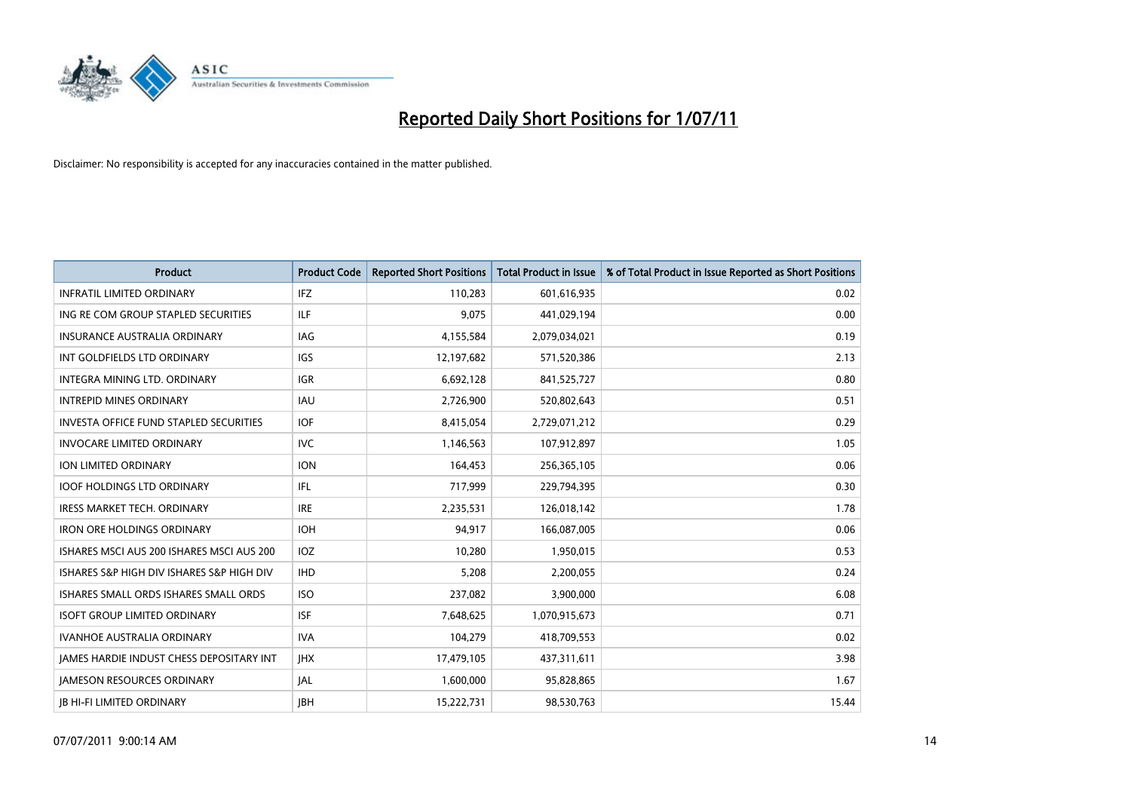

| <b>Product</b>                                | <b>Product Code</b> | <b>Reported Short Positions</b> | Total Product in Issue | % of Total Product in Issue Reported as Short Positions |
|-----------------------------------------------|---------------------|---------------------------------|------------------------|---------------------------------------------------------|
| <b>INFRATIL LIMITED ORDINARY</b>              | IFZ                 | 110,283                         | 601,616,935            | 0.02                                                    |
| ING RE COM GROUP STAPLED SECURITIES           | <b>ILF</b>          | 9,075                           | 441,029,194            | 0.00                                                    |
| <b>INSURANCE AUSTRALIA ORDINARY</b>           | <b>IAG</b>          | 4,155,584                       | 2,079,034,021          | 0.19                                                    |
| INT GOLDFIELDS LTD ORDINARY                   | <b>IGS</b>          | 12,197,682                      | 571,520,386            | 2.13                                                    |
| INTEGRA MINING LTD. ORDINARY                  | <b>IGR</b>          | 6,692,128                       | 841,525,727            | 0.80                                                    |
| <b>INTREPID MINES ORDINARY</b>                | <b>IAU</b>          | 2,726,900                       | 520,802,643            | 0.51                                                    |
| <b>INVESTA OFFICE FUND STAPLED SECURITIES</b> | <b>IOF</b>          | 8,415,054                       | 2,729,071,212          | 0.29                                                    |
| <b>INVOCARE LIMITED ORDINARY</b>              | <b>IVC</b>          | 1,146,563                       | 107,912,897            | 1.05                                                    |
| ION LIMITED ORDINARY                          | <b>ION</b>          | 164,453                         | 256,365,105            | 0.06                                                    |
| <b>IOOF HOLDINGS LTD ORDINARY</b>             | IFL.                | 717,999                         | 229,794,395            | 0.30                                                    |
| IRESS MARKET TECH. ORDINARY                   | <b>IRE</b>          | 2,235,531                       | 126,018,142            | 1.78                                                    |
| <b>IRON ORE HOLDINGS ORDINARY</b>             | <b>IOH</b>          | 94,917                          | 166,087,005            | 0.06                                                    |
| ISHARES MSCI AUS 200 ISHARES MSCI AUS 200     | <b>IOZ</b>          | 10,280                          | 1,950,015              | 0.53                                                    |
| ISHARES S&P HIGH DIV ISHARES S&P HIGH DIV     | <b>IHD</b>          | 5,208                           | 2,200,055              | 0.24                                                    |
| ISHARES SMALL ORDS ISHARES SMALL ORDS         | <b>ISO</b>          | 237,082                         | 3,900,000              | 6.08                                                    |
| <b>ISOFT GROUP LIMITED ORDINARY</b>           | <b>ISF</b>          | 7,648,625                       | 1,070,915,673          | 0.71                                                    |
| <b>IVANHOE AUSTRALIA ORDINARY</b>             | <b>IVA</b>          | 104,279                         | 418,709,553            | 0.02                                                    |
| JAMES HARDIE INDUST CHESS DEPOSITARY INT      | <b>JHX</b>          | 17,479,105                      | 437,311,611            | 3.98                                                    |
| <b>IAMESON RESOURCES ORDINARY</b>             | <b>JAL</b>          | 1,600,000                       | 95,828,865             | 1.67                                                    |
| <b>IB HI-FI LIMITED ORDINARY</b>              | <b>IBH</b>          | 15,222,731                      | 98,530,763             | 15.44                                                   |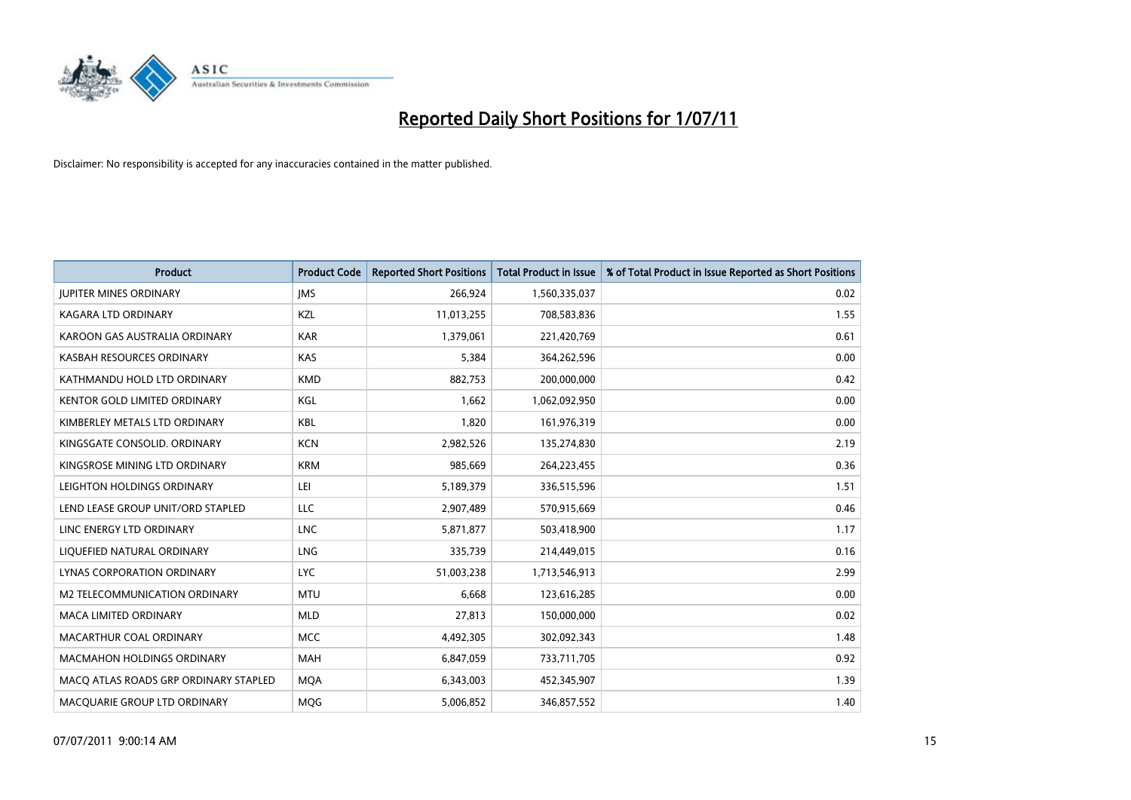

| <b>Product</b>                        | <b>Product Code</b> | <b>Reported Short Positions</b> | <b>Total Product in Issue</b> | % of Total Product in Issue Reported as Short Positions |
|---------------------------------------|---------------------|---------------------------------|-------------------------------|---------------------------------------------------------|
| <b>JUPITER MINES ORDINARY</b>         | <b>IMS</b>          | 266,924                         | 1,560,335,037                 | 0.02                                                    |
| KAGARA LTD ORDINARY                   | KZL                 | 11,013,255                      | 708,583,836                   | 1.55                                                    |
| KAROON GAS AUSTRALIA ORDINARY         | <b>KAR</b>          | 1,379,061                       | 221,420,769                   | 0.61                                                    |
| KASBAH RESOURCES ORDINARY             | <b>KAS</b>          | 5,384                           | 364,262,596                   | 0.00                                                    |
| KATHMANDU HOLD LTD ORDINARY           | <b>KMD</b>          | 882,753                         | 200,000,000                   | 0.42                                                    |
| KENTOR GOLD LIMITED ORDINARY          | KGL                 | 1,662                           | 1,062,092,950                 | 0.00                                                    |
| KIMBERLEY METALS LTD ORDINARY         | <b>KBL</b>          | 1,820                           | 161,976,319                   | 0.00                                                    |
| KINGSGATE CONSOLID, ORDINARY          | <b>KCN</b>          | 2,982,526                       | 135,274,830                   | 2.19                                                    |
| KINGSROSE MINING LTD ORDINARY         | <b>KRM</b>          | 985,669                         | 264,223,455                   | 0.36                                                    |
| LEIGHTON HOLDINGS ORDINARY            | LEI                 | 5,189,379                       | 336,515,596                   | 1.51                                                    |
| LEND LEASE GROUP UNIT/ORD STAPLED     | LLC                 | 2,907,489                       | 570,915,669                   | 0.46                                                    |
| LINC ENERGY LTD ORDINARY              | <b>LNC</b>          | 5,871,877                       | 503,418,900                   | 1.17                                                    |
| LIQUEFIED NATURAL ORDINARY            | <b>LNG</b>          | 335,739                         | 214,449,015                   | 0.16                                                    |
| LYNAS CORPORATION ORDINARY            | <b>LYC</b>          | 51,003,238                      | 1,713,546,913                 | 2.99                                                    |
| M2 TELECOMMUNICATION ORDINARY         | <b>MTU</b>          | 6,668                           | 123,616,285                   | 0.00                                                    |
| MACA LIMITED ORDINARY                 | <b>MLD</b>          | 27,813                          | 150,000,000                   | 0.02                                                    |
| MACARTHUR COAL ORDINARY               | <b>MCC</b>          | 4,492,305                       | 302,092,343                   | 1.48                                                    |
| <b>MACMAHON HOLDINGS ORDINARY</b>     | <b>MAH</b>          | 6,847,059                       | 733,711,705                   | 0.92                                                    |
| MACO ATLAS ROADS GRP ORDINARY STAPLED | <b>MOA</b>          | 6,343,003                       | 452,345,907                   | 1.39                                                    |
| MACQUARIE GROUP LTD ORDINARY          | <b>MOG</b>          | 5,006,852                       | 346,857,552                   | 1.40                                                    |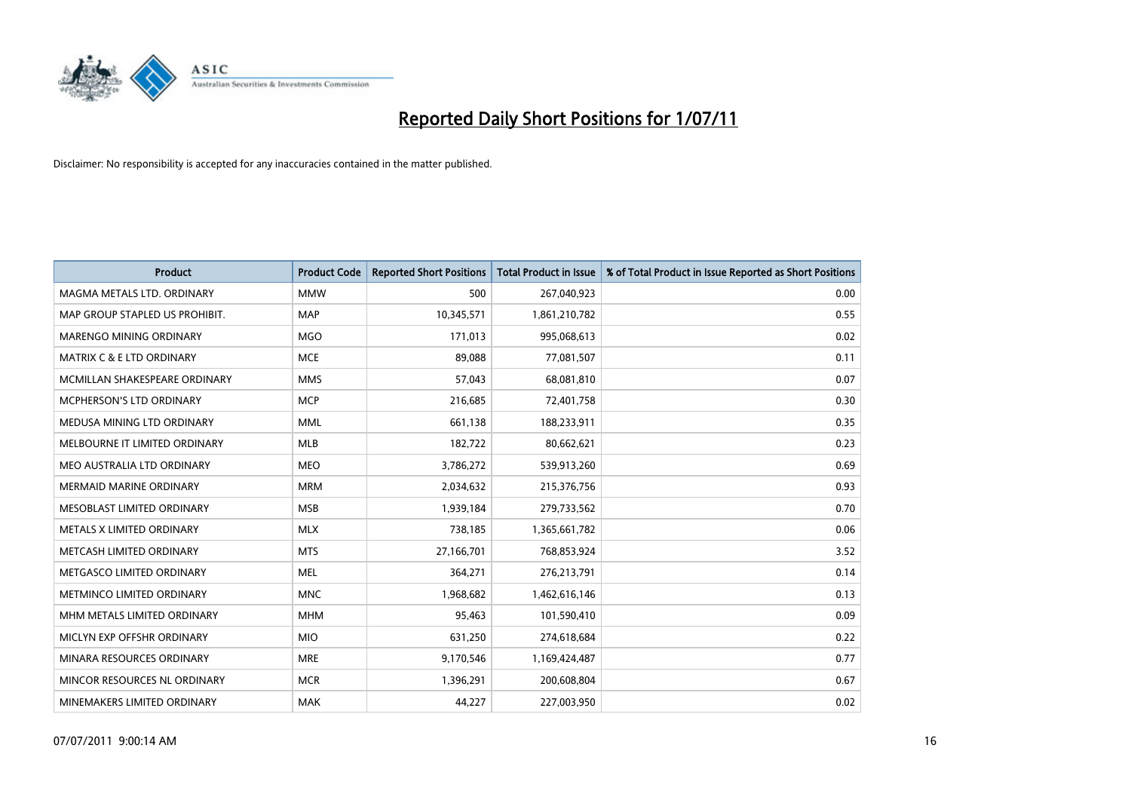

| <b>Product</b>                  | <b>Product Code</b> | <b>Reported Short Positions</b> | Total Product in Issue | % of Total Product in Issue Reported as Short Positions |
|---------------------------------|---------------------|---------------------------------|------------------------|---------------------------------------------------------|
| MAGMA METALS LTD. ORDINARY      | <b>MMW</b>          | 500                             | 267,040,923            | 0.00                                                    |
| MAP GROUP STAPLED US PROHIBIT.  | <b>MAP</b>          | 10,345,571                      | 1,861,210,782          | 0.55                                                    |
| <b>MARENGO MINING ORDINARY</b>  | <b>MGO</b>          | 171,013                         | 995,068,613            | 0.02                                                    |
| MATRIX C & E LTD ORDINARY       | <b>MCE</b>          | 89,088                          | 77,081,507             | 0.11                                                    |
| MCMILLAN SHAKESPEARE ORDINARY   | <b>MMS</b>          | 57.043                          | 68,081,810             | 0.07                                                    |
| <b>MCPHERSON'S LTD ORDINARY</b> | <b>MCP</b>          | 216,685                         | 72,401,758             | 0.30                                                    |
| MEDUSA MINING LTD ORDINARY      | <b>MML</b>          | 661,138                         | 188,233,911            | 0.35                                                    |
| MELBOURNE IT LIMITED ORDINARY   | <b>MLB</b>          | 182,722                         | 80,662,621             | 0.23                                                    |
| MEO AUSTRALIA LTD ORDINARY      | <b>MEO</b>          | 3,786,272                       | 539,913,260            | 0.69                                                    |
| <b>MERMAID MARINE ORDINARY</b>  | <b>MRM</b>          | 2,034,632                       | 215,376,756            | 0.93                                                    |
| MESOBLAST LIMITED ORDINARY      | <b>MSB</b>          | 1,939,184                       | 279,733,562            | 0.70                                                    |
| METALS X LIMITED ORDINARY       | <b>MLX</b>          | 738,185                         | 1,365,661,782          | 0.06                                                    |
| METCASH LIMITED ORDINARY        | <b>MTS</b>          | 27,166,701                      | 768,853,924            | 3.52                                                    |
| METGASCO LIMITED ORDINARY       | <b>MEL</b>          | 364.271                         | 276,213,791            | 0.14                                                    |
| METMINCO LIMITED ORDINARY       | <b>MNC</b>          | 1,968,682                       | 1,462,616,146          | 0.13                                                    |
| MHM METALS LIMITED ORDINARY     | <b>MHM</b>          | 95,463                          | 101,590,410            | 0.09                                                    |
| MICLYN EXP OFFSHR ORDINARY      | <b>MIO</b>          | 631,250                         | 274,618,684            | 0.22                                                    |
| MINARA RESOURCES ORDINARY       | <b>MRE</b>          | 9,170,546                       | 1,169,424,487          | 0.77                                                    |
| MINCOR RESOURCES NL ORDINARY    | <b>MCR</b>          | 1,396,291                       | 200,608,804            | 0.67                                                    |
| MINEMAKERS LIMITED ORDINARY     | <b>MAK</b>          | 44.227                          | 227,003,950            | 0.02                                                    |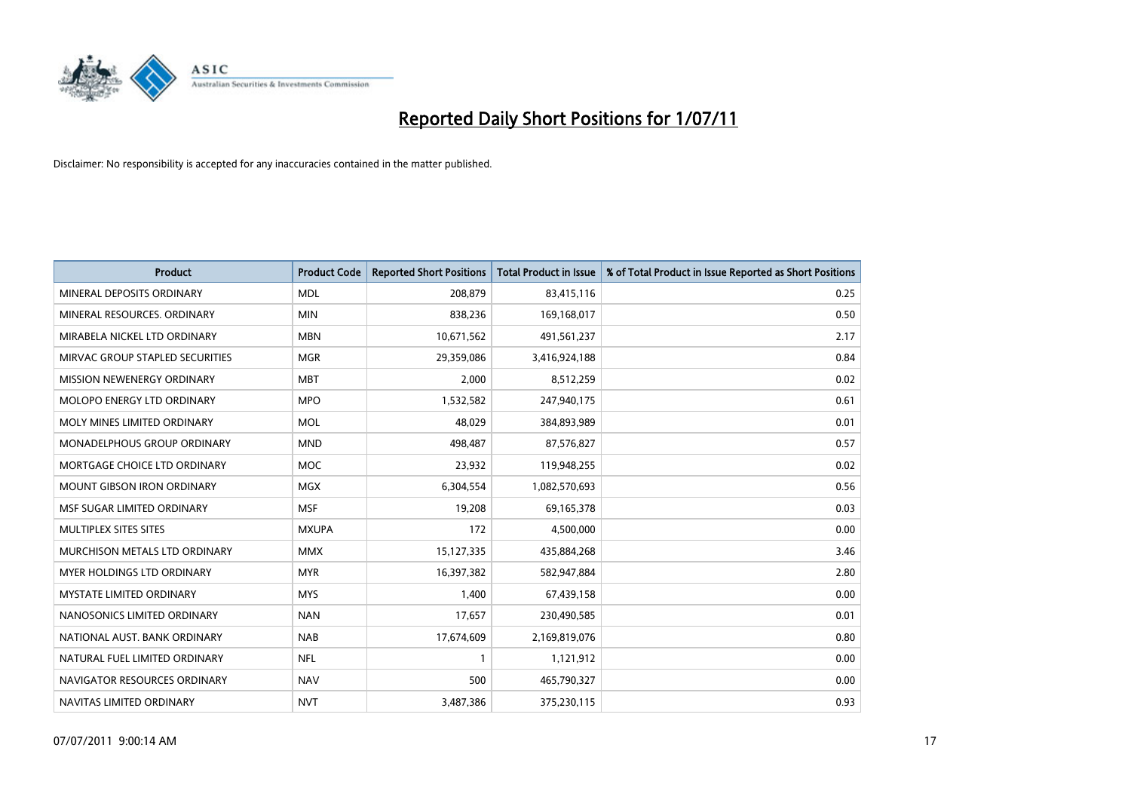

| <b>Product</b>                    | <b>Product Code</b> | <b>Reported Short Positions</b> | Total Product in Issue | % of Total Product in Issue Reported as Short Positions |
|-----------------------------------|---------------------|---------------------------------|------------------------|---------------------------------------------------------|
| MINERAL DEPOSITS ORDINARY         | <b>MDL</b>          | 208,879                         | 83,415,116             | 0.25                                                    |
| MINERAL RESOURCES. ORDINARY       | <b>MIN</b>          | 838,236                         | 169,168,017            | 0.50                                                    |
| MIRABELA NICKEL LTD ORDINARY      | <b>MBN</b>          | 10,671,562                      | 491,561,237            | 2.17                                                    |
| MIRVAC GROUP STAPLED SECURITIES   | <b>MGR</b>          | 29,359,086                      | 3,416,924,188          | 0.84                                                    |
| MISSION NEWENERGY ORDINARY        | <b>MBT</b>          | 2,000                           | 8,512,259              | 0.02                                                    |
| MOLOPO ENERGY LTD ORDINARY        | <b>MPO</b>          | 1,532,582                       | 247,940,175            | 0.61                                                    |
| MOLY MINES LIMITED ORDINARY       | <b>MOL</b>          | 48.029                          | 384,893,989            | 0.01                                                    |
| MONADELPHOUS GROUP ORDINARY       | <b>MND</b>          | 498,487                         | 87,576,827             | 0.57                                                    |
| MORTGAGE CHOICE LTD ORDINARY      | <b>MOC</b>          | 23,932                          | 119,948,255            | 0.02                                                    |
| <b>MOUNT GIBSON IRON ORDINARY</b> | <b>MGX</b>          | 6,304,554                       | 1,082,570,693          | 0.56                                                    |
| MSF SUGAR LIMITED ORDINARY        | <b>MSF</b>          | 19,208                          | 69,165,378             | 0.03                                                    |
| MULTIPLEX SITES SITES             | <b>MXUPA</b>        | 172                             | 4,500,000              | 0.00                                                    |
| MURCHISON METALS LTD ORDINARY     | <b>MMX</b>          | 15,127,335                      | 435,884,268            | 3.46                                                    |
| <b>MYER HOLDINGS LTD ORDINARY</b> | <b>MYR</b>          | 16,397,382                      | 582,947,884            | 2.80                                                    |
| <b>MYSTATE LIMITED ORDINARY</b>   | <b>MYS</b>          | 1,400                           | 67,439,158             | 0.00                                                    |
| NANOSONICS LIMITED ORDINARY       | <b>NAN</b>          | 17,657                          | 230,490,585            | 0.01                                                    |
| NATIONAL AUST. BANK ORDINARY      | <b>NAB</b>          | 17,674,609                      | 2,169,819,076          | 0.80                                                    |
| NATURAL FUEL LIMITED ORDINARY     | <b>NFL</b>          |                                 | 1,121,912              | 0.00                                                    |
| NAVIGATOR RESOURCES ORDINARY      | <b>NAV</b>          | 500                             | 465,790,327            | 0.00                                                    |
| NAVITAS LIMITED ORDINARY          | <b>NVT</b>          | 3,487,386                       | 375,230,115            | 0.93                                                    |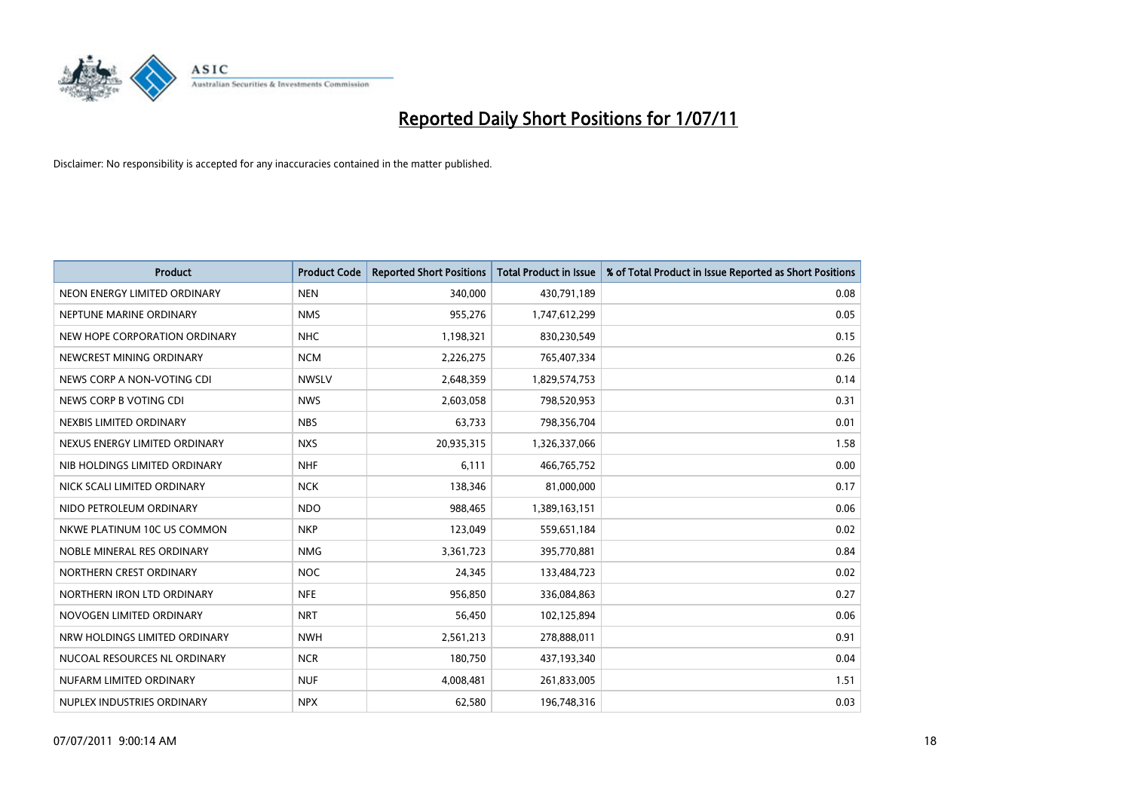

| <b>Product</b>                | <b>Product Code</b> | <b>Reported Short Positions</b> | <b>Total Product in Issue</b> | % of Total Product in Issue Reported as Short Positions |
|-------------------------------|---------------------|---------------------------------|-------------------------------|---------------------------------------------------------|
| NEON ENERGY LIMITED ORDINARY  | <b>NEN</b>          | 340,000                         | 430,791,189                   | 0.08                                                    |
| NEPTUNE MARINE ORDINARY       | <b>NMS</b>          | 955,276                         | 1,747,612,299                 | 0.05                                                    |
| NEW HOPE CORPORATION ORDINARY | <b>NHC</b>          | 1,198,321                       | 830,230,549                   | 0.15                                                    |
| NEWCREST MINING ORDINARY      | <b>NCM</b>          | 2,226,275                       | 765,407,334                   | 0.26                                                    |
| NEWS CORP A NON-VOTING CDI    | <b>NWSLV</b>        | 2,648,359                       | 1,829,574,753                 | 0.14                                                    |
| NEWS CORP B VOTING CDI        | <b>NWS</b>          | 2,603,058                       | 798,520,953                   | 0.31                                                    |
| NEXBIS LIMITED ORDINARY       | <b>NBS</b>          | 63,733                          | 798,356,704                   | 0.01                                                    |
| NEXUS ENERGY LIMITED ORDINARY | <b>NXS</b>          | 20,935,315                      | 1,326,337,066                 | 1.58                                                    |
| NIB HOLDINGS LIMITED ORDINARY | <b>NHF</b>          | 6,111                           | 466,765,752                   | 0.00                                                    |
| NICK SCALI LIMITED ORDINARY   | <b>NCK</b>          | 138,346                         | 81,000,000                    | 0.17                                                    |
| NIDO PETROLEUM ORDINARY       | <b>NDO</b>          | 988,465                         | 1,389,163,151                 | 0.06                                                    |
| NKWE PLATINUM 10C US COMMON   | <b>NKP</b>          | 123,049                         | 559,651,184                   | 0.02                                                    |
| NOBLE MINERAL RES ORDINARY    | <b>NMG</b>          | 3,361,723                       | 395,770,881                   | 0.84                                                    |
| NORTHERN CREST ORDINARY       | <b>NOC</b>          | 24,345                          | 133,484,723                   | 0.02                                                    |
| NORTHERN IRON LTD ORDINARY    | <b>NFE</b>          | 956,850                         | 336,084,863                   | 0.27                                                    |
| NOVOGEN LIMITED ORDINARY      | <b>NRT</b>          | 56,450                          | 102,125,894                   | 0.06                                                    |
| NRW HOLDINGS LIMITED ORDINARY | <b>NWH</b>          | 2,561,213                       | 278,888,011                   | 0.91                                                    |
| NUCOAL RESOURCES NL ORDINARY  | <b>NCR</b>          | 180,750                         | 437,193,340                   | 0.04                                                    |
| NUFARM LIMITED ORDINARY       | <b>NUF</b>          | 4,008,481                       | 261,833,005                   | 1.51                                                    |
| NUPLEX INDUSTRIES ORDINARY    | <b>NPX</b>          | 62,580                          | 196,748,316                   | 0.03                                                    |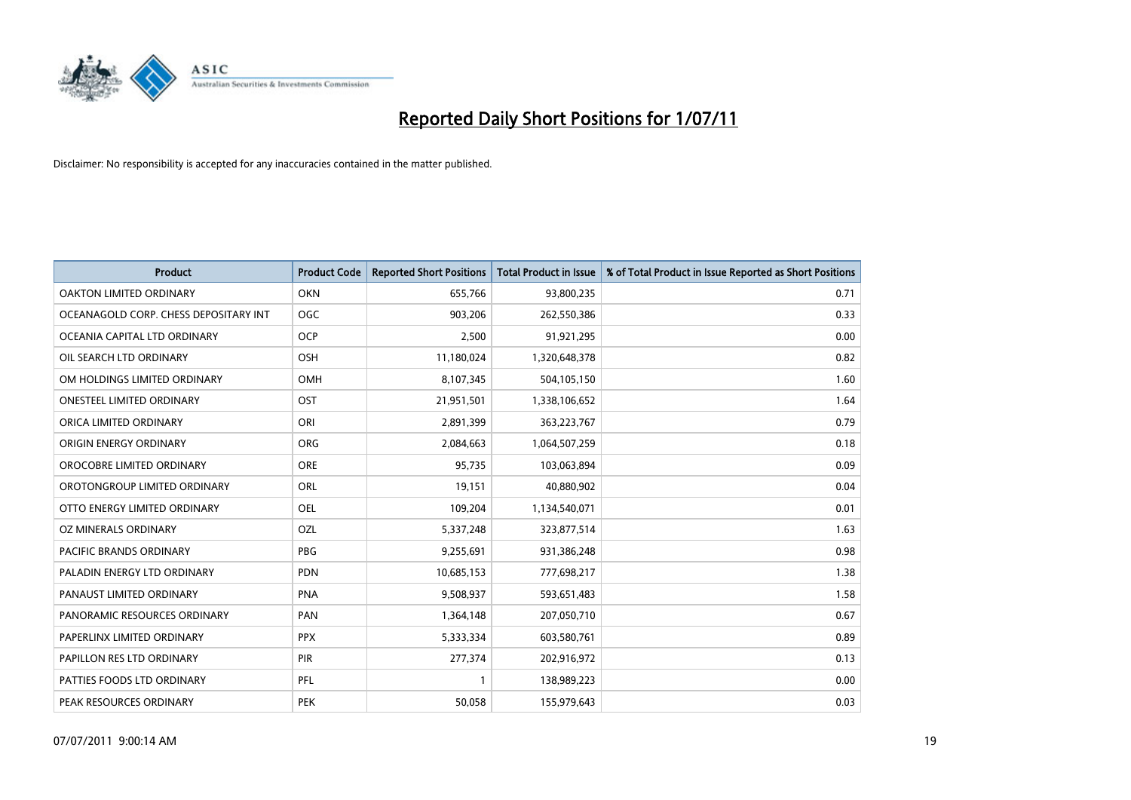

| <b>Product</b>                        | <b>Product Code</b> | <b>Reported Short Positions</b> | <b>Total Product in Issue</b> | % of Total Product in Issue Reported as Short Positions |
|---------------------------------------|---------------------|---------------------------------|-------------------------------|---------------------------------------------------------|
| <b>OAKTON LIMITED ORDINARY</b>        | OKN                 | 655,766                         | 93,800,235                    | 0.71                                                    |
| OCEANAGOLD CORP. CHESS DEPOSITARY INT | <b>OGC</b>          | 903,206                         | 262,550,386                   | 0.33                                                    |
| OCEANIA CAPITAL LTD ORDINARY          | <b>OCP</b>          | 2,500                           | 91,921,295                    | 0.00                                                    |
| OIL SEARCH LTD ORDINARY               | <b>OSH</b>          | 11,180,024                      | 1,320,648,378                 | 0.82                                                    |
| OM HOLDINGS LIMITED ORDINARY          | <b>OMH</b>          | 8,107,345                       | 504,105,150                   | 1.60                                                    |
| <b>ONESTEEL LIMITED ORDINARY</b>      | OST                 | 21,951,501                      | 1,338,106,652                 | 1.64                                                    |
| ORICA LIMITED ORDINARY                | ORI                 | 2,891,399                       | 363,223,767                   | 0.79                                                    |
| ORIGIN ENERGY ORDINARY                | ORG                 | 2,084,663                       | 1,064,507,259                 | 0.18                                                    |
| OROCOBRE LIMITED ORDINARY             | <b>ORE</b>          | 95,735                          | 103,063,894                   | 0.09                                                    |
| OROTONGROUP LIMITED ORDINARY          | <b>ORL</b>          | 19,151                          | 40,880,902                    | 0.04                                                    |
| OTTO ENERGY LIMITED ORDINARY          | <b>OEL</b>          | 109,204                         | 1,134,540,071                 | 0.01                                                    |
| OZ MINERALS ORDINARY                  | OZL                 | 5,337,248                       | 323,877,514                   | 1.63                                                    |
| <b>PACIFIC BRANDS ORDINARY</b>        | <b>PBG</b>          | 9,255,691                       | 931,386,248                   | 0.98                                                    |
| PALADIN ENERGY LTD ORDINARY           | <b>PDN</b>          | 10,685,153                      | 777,698,217                   | 1.38                                                    |
| PANAUST LIMITED ORDINARY              | <b>PNA</b>          | 9,508,937                       | 593,651,483                   | 1.58                                                    |
| PANORAMIC RESOURCES ORDINARY          | PAN                 | 1,364,148                       | 207,050,710                   | 0.67                                                    |
| PAPERLINX LIMITED ORDINARY            | <b>PPX</b>          | 5,333,334                       | 603,580,761                   | 0.89                                                    |
| PAPILLON RES LTD ORDINARY             | <b>PIR</b>          | 277,374                         | 202,916,972                   | 0.13                                                    |
| PATTIES FOODS LTD ORDINARY            | PFL                 |                                 | 138,989,223                   | 0.00                                                    |
| PEAK RESOURCES ORDINARY               | <b>PEK</b>          | 50,058                          | 155,979,643                   | 0.03                                                    |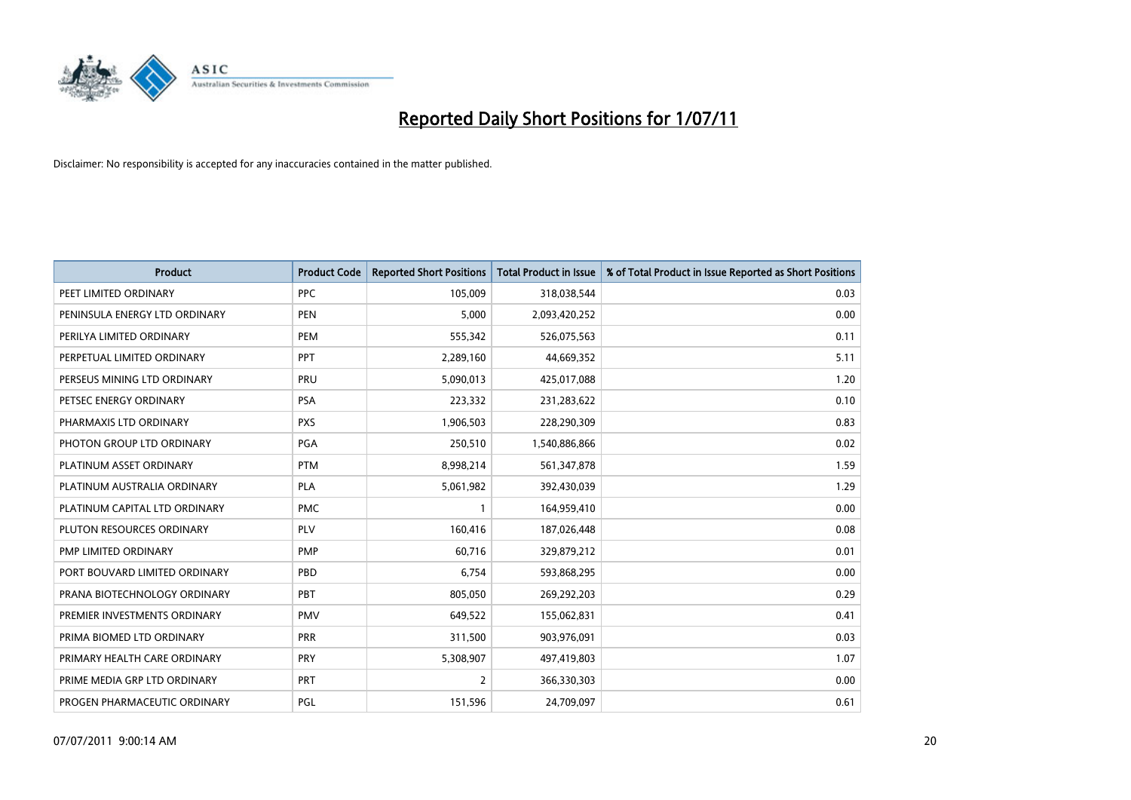

| <b>Product</b>                | <b>Product Code</b> | <b>Reported Short Positions</b> | Total Product in Issue | % of Total Product in Issue Reported as Short Positions |
|-------------------------------|---------------------|---------------------------------|------------------------|---------------------------------------------------------|
| PEET LIMITED ORDINARY         | <b>PPC</b>          | 105,009                         | 318,038,544            | 0.03                                                    |
| PENINSULA ENERGY LTD ORDINARY | <b>PEN</b>          | 5.000                           | 2,093,420,252          | 0.00                                                    |
| PERILYA LIMITED ORDINARY      | PEM                 | 555,342                         | 526,075,563            | 0.11                                                    |
| PERPETUAL LIMITED ORDINARY    | PPT                 | 2,289,160                       | 44,669,352             | 5.11                                                    |
| PERSEUS MINING LTD ORDINARY   | PRU                 | 5,090,013                       | 425,017,088            | 1.20                                                    |
| PETSEC ENERGY ORDINARY        | <b>PSA</b>          | 223,332                         | 231,283,622            | 0.10                                                    |
| PHARMAXIS LTD ORDINARY        | <b>PXS</b>          | 1,906,503                       | 228,290,309            | 0.83                                                    |
| PHOTON GROUP LTD ORDINARY     | PGA                 | 250,510                         | 1,540,886,866          | 0.02                                                    |
| PLATINUM ASSET ORDINARY       | <b>PTM</b>          | 8,998,214                       | 561,347,878            | 1.59                                                    |
| PLATINUM AUSTRALIA ORDINARY   | <b>PLA</b>          | 5,061,982                       | 392,430,039            | 1.29                                                    |
| PLATINUM CAPITAL LTD ORDINARY | <b>PMC</b>          |                                 | 164,959,410            | 0.00                                                    |
| PLUTON RESOURCES ORDINARY     | <b>PLV</b>          | 160,416                         | 187,026,448            | 0.08                                                    |
| PMP LIMITED ORDINARY          | <b>PMP</b>          | 60.716                          | 329,879,212            | 0.01                                                    |
| PORT BOUVARD LIMITED ORDINARY | PBD                 | 6.754                           | 593,868,295            | 0.00                                                    |
| PRANA BIOTECHNOLOGY ORDINARY  | PBT                 | 805,050                         | 269,292,203            | 0.29                                                    |
| PREMIER INVESTMENTS ORDINARY  | <b>PMV</b>          | 649,522                         | 155,062,831            | 0.41                                                    |
| PRIMA BIOMED LTD ORDINARY     | <b>PRR</b>          | 311,500                         | 903,976,091            | 0.03                                                    |
| PRIMARY HEALTH CARE ORDINARY  | <b>PRY</b>          | 5,308,907                       | 497,419,803            | 1.07                                                    |
| PRIME MEDIA GRP LTD ORDINARY  | PRT                 | 2                               | 366,330,303            | 0.00                                                    |
| PROGEN PHARMACEUTIC ORDINARY  | <b>PGL</b>          | 151,596                         | 24,709,097             | 0.61                                                    |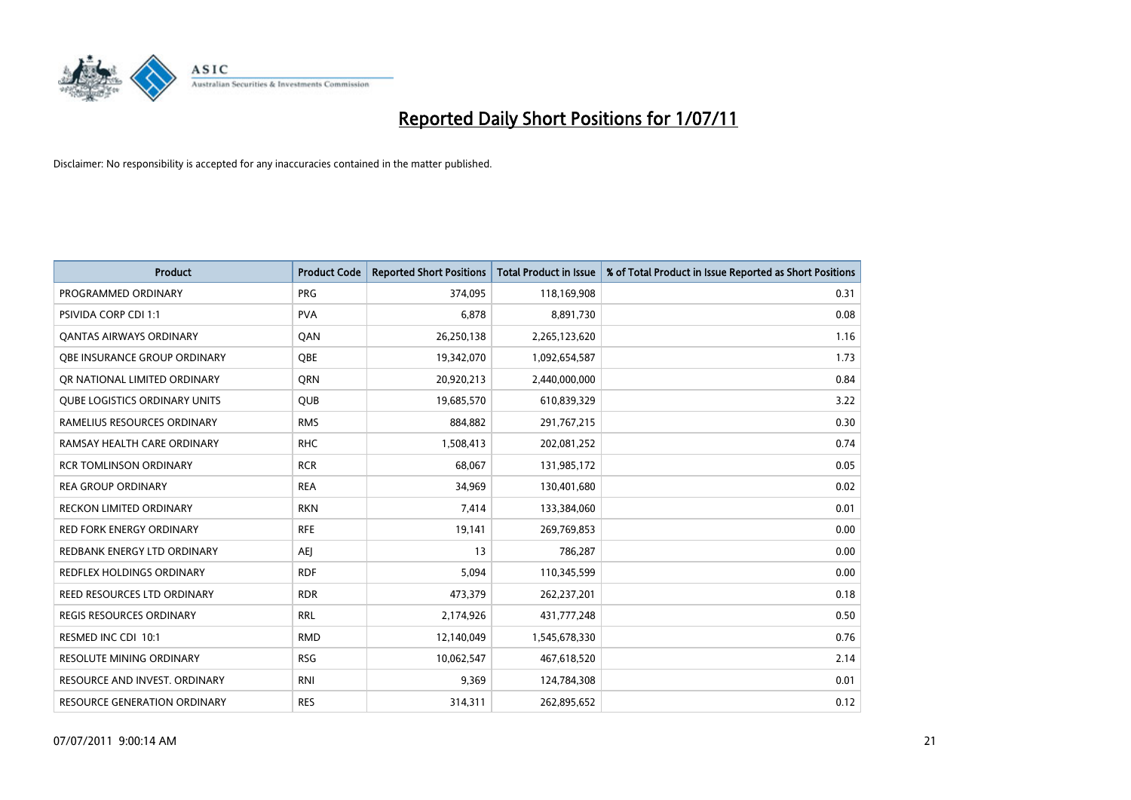

| <b>Product</b>                       | <b>Product Code</b> | <b>Reported Short Positions</b> | <b>Total Product in Issue</b> | % of Total Product in Issue Reported as Short Positions |
|--------------------------------------|---------------------|---------------------------------|-------------------------------|---------------------------------------------------------|
| PROGRAMMED ORDINARY                  | <b>PRG</b>          | 374,095                         | 118,169,908                   | 0.31                                                    |
| PSIVIDA CORP CDI 1:1                 | <b>PVA</b>          | 6,878                           | 8,891,730                     | 0.08                                                    |
| <b>QANTAS AIRWAYS ORDINARY</b>       | QAN                 | 26,250,138                      | 2,265,123,620                 | 1.16                                                    |
| OBE INSURANCE GROUP ORDINARY         | <b>OBE</b>          | 19,342,070                      | 1,092,654,587                 | 1.73                                                    |
| OR NATIONAL LIMITED ORDINARY         | <b>ORN</b>          | 20,920,213                      | 2,440,000,000                 | 0.84                                                    |
| <b>QUBE LOGISTICS ORDINARY UNITS</b> | <b>QUB</b>          | 19,685,570                      | 610,839,329                   | 3.22                                                    |
| RAMELIUS RESOURCES ORDINARY          | <b>RMS</b>          | 884,882                         | 291,767,215                   | 0.30                                                    |
| RAMSAY HEALTH CARE ORDINARY          | <b>RHC</b>          | 1,508,413                       | 202,081,252                   | 0.74                                                    |
| <b>RCR TOMLINSON ORDINARY</b>        | <b>RCR</b>          | 68,067                          | 131,985,172                   | 0.05                                                    |
| <b>REA GROUP ORDINARY</b>            | <b>REA</b>          | 34,969                          | 130,401,680                   | 0.02                                                    |
| <b>RECKON LIMITED ORDINARY</b>       | <b>RKN</b>          | 7,414                           | 133,384,060                   | 0.01                                                    |
| <b>RED FORK ENERGY ORDINARY</b>      | <b>RFE</b>          | 19,141                          | 269,769,853                   | 0.00                                                    |
| REDBANK ENERGY LTD ORDINARY          | AEJ                 | 13                              | 786,287                       | 0.00                                                    |
| <b>REDFLEX HOLDINGS ORDINARY</b>     | <b>RDF</b>          | 5,094                           | 110,345,599                   | 0.00                                                    |
| <b>REED RESOURCES LTD ORDINARY</b>   | <b>RDR</b>          | 473,379                         | 262,237,201                   | 0.18                                                    |
| REGIS RESOURCES ORDINARY             | <b>RRL</b>          | 2,174,926                       | 431,777,248                   | 0.50                                                    |
| RESMED INC CDI 10:1                  | <b>RMD</b>          | 12,140,049                      | 1,545,678,330                 | 0.76                                                    |
| RESOLUTE MINING ORDINARY             | <b>RSG</b>          | 10,062,547                      | 467,618,520                   | 2.14                                                    |
| RESOURCE AND INVEST. ORDINARY        | <b>RNI</b>          | 9,369                           | 124,784,308                   | 0.01                                                    |
| <b>RESOURCE GENERATION ORDINARY</b>  | <b>RES</b>          | 314,311                         | 262,895,652                   | 0.12                                                    |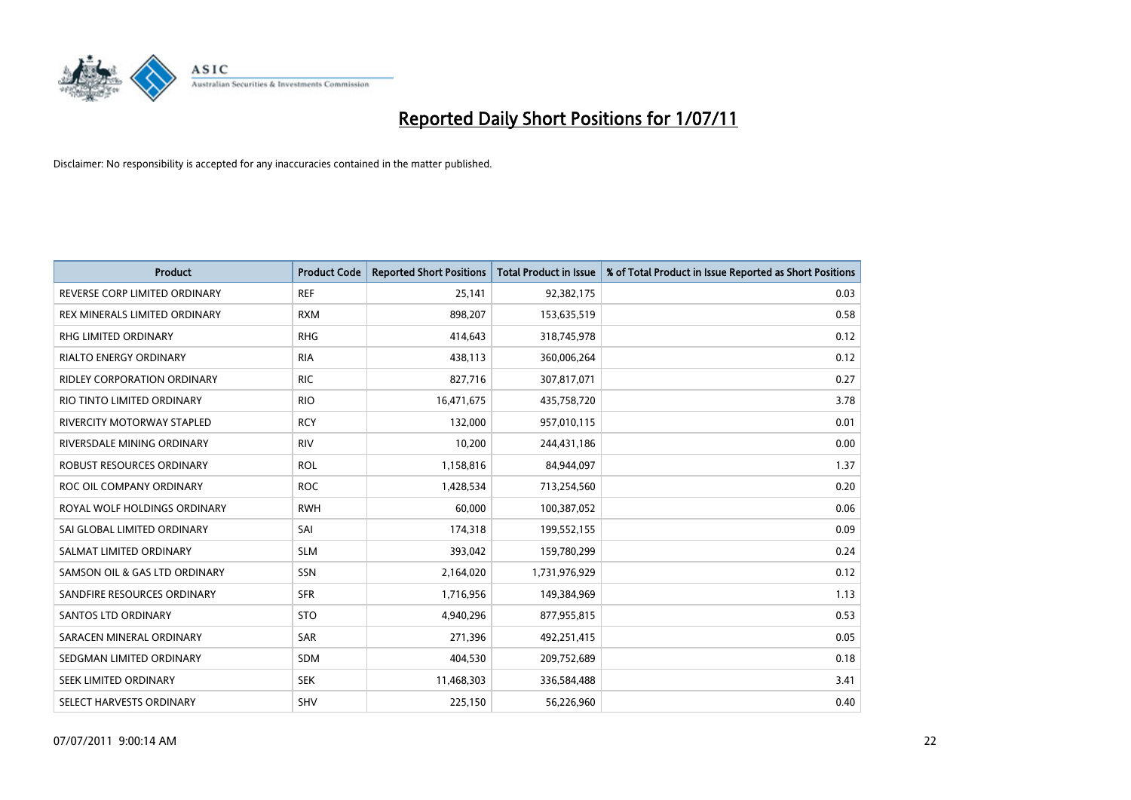

| <b>Product</b>                     | <b>Product Code</b> | <b>Reported Short Positions</b> | <b>Total Product in Issue</b> | % of Total Product in Issue Reported as Short Positions |
|------------------------------------|---------------------|---------------------------------|-------------------------------|---------------------------------------------------------|
| REVERSE CORP LIMITED ORDINARY      | <b>REF</b>          | 25,141                          | 92,382,175                    | 0.03                                                    |
| REX MINERALS LIMITED ORDINARY      | <b>RXM</b>          | 898,207                         | 153,635,519                   | 0.58                                                    |
| RHG LIMITED ORDINARY               | <b>RHG</b>          | 414,643                         | 318,745,978                   | 0.12                                                    |
| <b>RIALTO ENERGY ORDINARY</b>      | <b>RIA</b>          | 438,113                         | 360,006,264                   | 0.12                                                    |
| <b>RIDLEY CORPORATION ORDINARY</b> | <b>RIC</b>          | 827,716                         | 307,817,071                   | 0.27                                                    |
| RIO TINTO LIMITED ORDINARY         | <b>RIO</b>          | 16,471,675                      | 435,758,720                   | 3.78                                                    |
| RIVERCITY MOTORWAY STAPLED         | <b>RCY</b>          | 132,000                         | 957,010,115                   | 0.01                                                    |
| RIVERSDALE MINING ORDINARY         | <b>RIV</b>          | 10,200                          | 244,431,186                   | 0.00                                                    |
| <b>ROBUST RESOURCES ORDINARY</b>   | <b>ROL</b>          | 1,158,816                       | 84,944,097                    | 1.37                                                    |
| ROC OIL COMPANY ORDINARY           | <b>ROC</b>          | 1,428,534                       | 713,254,560                   | 0.20                                                    |
| ROYAL WOLF HOLDINGS ORDINARY       | <b>RWH</b>          | 60,000                          | 100,387,052                   | 0.06                                                    |
| SAI GLOBAL LIMITED ORDINARY        | SAI                 | 174,318                         | 199,552,155                   | 0.09                                                    |
| SALMAT LIMITED ORDINARY            | <b>SLM</b>          | 393,042                         | 159,780,299                   | 0.24                                                    |
| SAMSON OIL & GAS LTD ORDINARY      | SSN                 | 2,164,020                       | 1,731,976,929                 | 0.12                                                    |
| SANDFIRE RESOURCES ORDINARY        | <b>SFR</b>          | 1,716,956                       | 149,384,969                   | 1.13                                                    |
| SANTOS LTD ORDINARY                | <b>STO</b>          | 4,940,296                       | 877,955,815                   | 0.53                                                    |
| SARACEN MINERAL ORDINARY           | SAR                 | 271,396                         | 492,251,415                   | 0.05                                                    |
| SEDGMAN LIMITED ORDINARY           | <b>SDM</b>          | 404,530                         | 209,752,689                   | 0.18                                                    |
| SEEK LIMITED ORDINARY              | <b>SEK</b>          | 11,468,303                      | 336,584,488                   | 3.41                                                    |
| SELECT HARVESTS ORDINARY           | SHV                 | 225,150                         | 56,226,960                    | 0.40                                                    |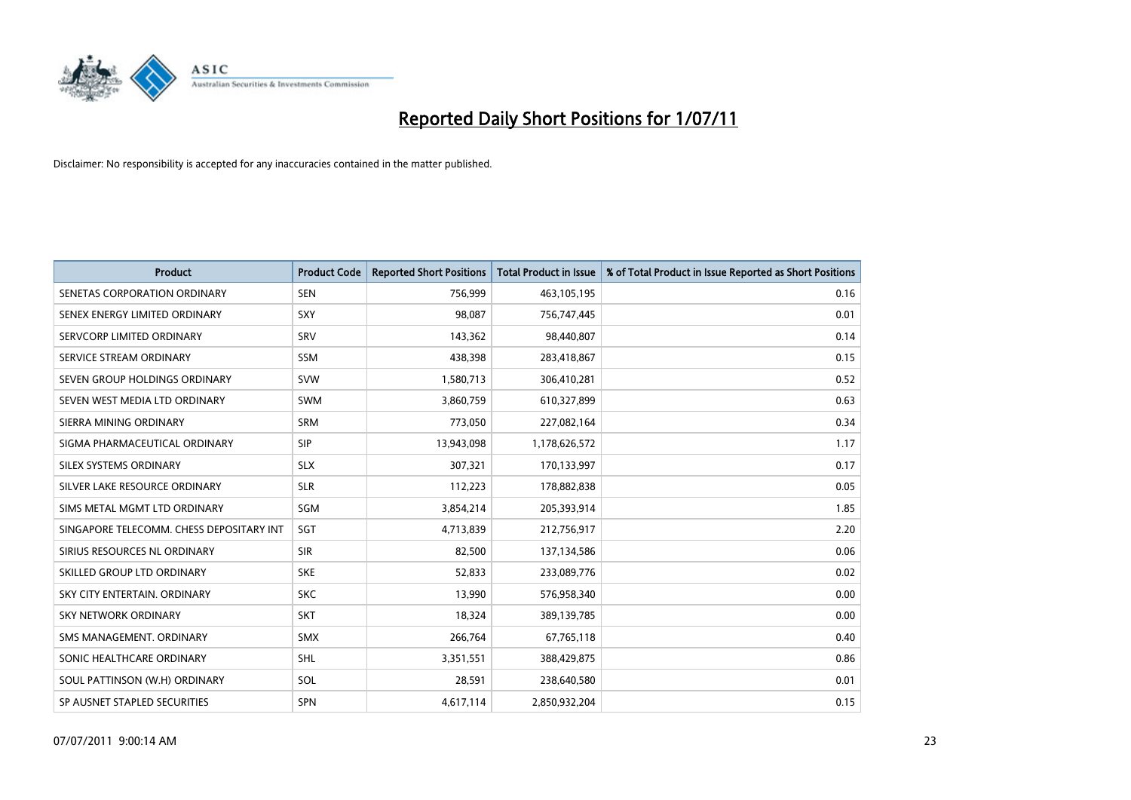

| <b>Product</b>                           | <b>Product Code</b> | <b>Reported Short Positions</b> | <b>Total Product in Issue</b> | % of Total Product in Issue Reported as Short Positions |
|------------------------------------------|---------------------|---------------------------------|-------------------------------|---------------------------------------------------------|
| SENETAS CORPORATION ORDINARY             | <b>SEN</b>          | 756,999                         | 463,105,195                   | 0.16                                                    |
| SENEX ENERGY LIMITED ORDINARY            | SXY                 | 98,087                          | 756,747,445                   | 0.01                                                    |
| SERVCORP LIMITED ORDINARY                | SRV                 | 143,362                         | 98,440,807                    | 0.14                                                    |
| SERVICE STREAM ORDINARY                  | <b>SSM</b>          | 438,398                         | 283,418,867                   | 0.15                                                    |
| SEVEN GROUP HOLDINGS ORDINARY            | <b>SVW</b>          | 1,580,713                       | 306,410,281                   | 0.52                                                    |
| SEVEN WEST MEDIA LTD ORDINARY            | <b>SWM</b>          | 3,860,759                       | 610,327,899                   | 0.63                                                    |
| SIERRA MINING ORDINARY                   | <b>SRM</b>          | 773,050                         | 227,082,164                   | 0.34                                                    |
| SIGMA PHARMACEUTICAL ORDINARY            | <b>SIP</b>          | 13,943,098                      | 1,178,626,572                 | 1.17                                                    |
| SILEX SYSTEMS ORDINARY                   | <b>SLX</b>          | 307,321                         | 170,133,997                   | 0.17                                                    |
| SILVER LAKE RESOURCE ORDINARY            | <b>SLR</b>          | 112,223                         | 178,882,838                   | 0.05                                                    |
| SIMS METAL MGMT LTD ORDINARY             | SGM                 | 3,854,214                       | 205,393,914                   | 1.85                                                    |
| SINGAPORE TELECOMM. CHESS DEPOSITARY INT | SGT                 | 4,713,839                       | 212,756,917                   | 2.20                                                    |
| SIRIUS RESOURCES NL ORDINARY             | <b>SIR</b>          | 82,500                          | 137,134,586                   | 0.06                                                    |
| SKILLED GROUP LTD ORDINARY               | <b>SKE</b>          | 52,833                          | 233,089,776                   | 0.02                                                    |
| SKY CITY ENTERTAIN, ORDINARY             | <b>SKC</b>          | 13,990                          | 576,958,340                   | 0.00                                                    |
| SKY NETWORK ORDINARY                     | <b>SKT</b>          | 18,324                          | 389,139,785                   | 0.00                                                    |
| SMS MANAGEMENT. ORDINARY                 | <b>SMX</b>          | 266,764                         | 67,765,118                    | 0.40                                                    |
| SONIC HEALTHCARE ORDINARY                | <b>SHL</b>          | 3,351,551                       | 388,429,875                   | 0.86                                                    |
| SOUL PATTINSON (W.H) ORDINARY            | SOL                 | 28,591                          | 238,640,580                   | 0.01                                                    |
| SP AUSNET STAPLED SECURITIES             | <b>SPN</b>          | 4,617,114                       | 2,850,932,204                 | 0.15                                                    |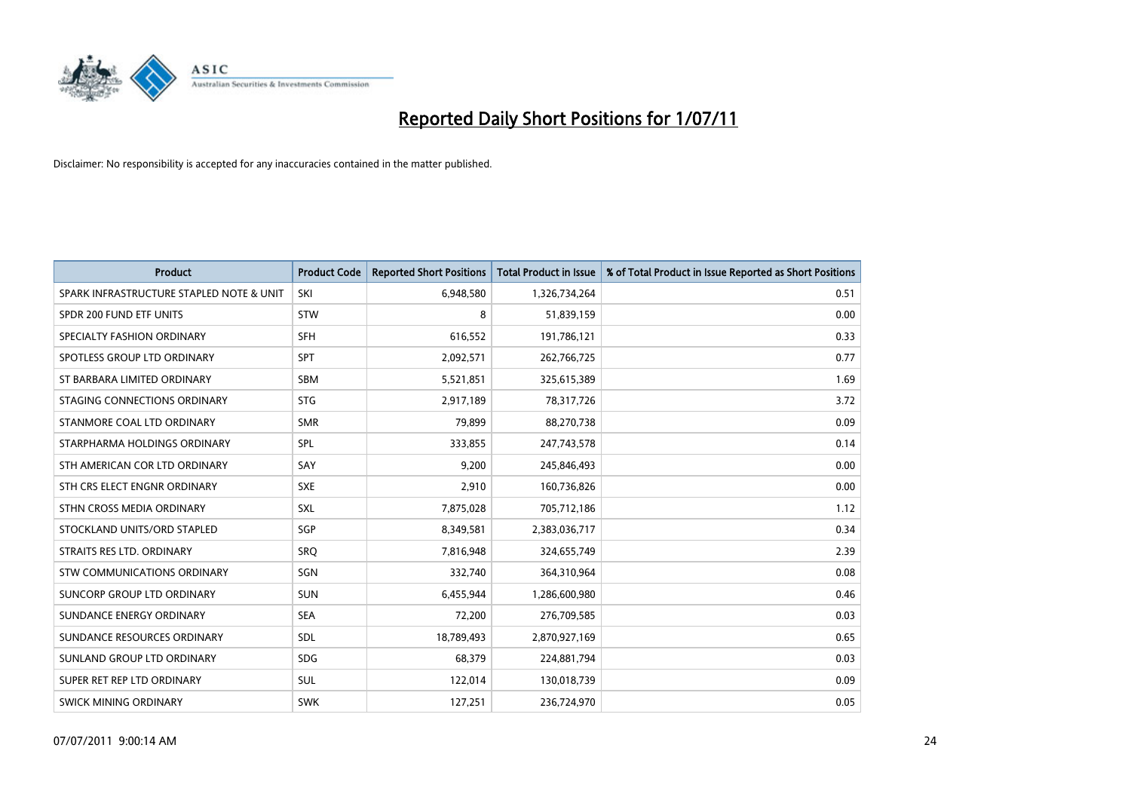

| <b>Product</b>                           | <b>Product Code</b> | <b>Reported Short Positions</b> | <b>Total Product in Issue</b> | % of Total Product in Issue Reported as Short Positions |
|------------------------------------------|---------------------|---------------------------------|-------------------------------|---------------------------------------------------------|
| SPARK INFRASTRUCTURE STAPLED NOTE & UNIT | SKI                 | 6,948,580                       | 1,326,734,264                 | 0.51                                                    |
| SPDR 200 FUND ETF UNITS                  | <b>STW</b>          | 8                               | 51,839,159                    | 0.00                                                    |
| SPECIALTY FASHION ORDINARY               | <b>SFH</b>          | 616,552                         | 191,786,121                   | 0.33                                                    |
| SPOTLESS GROUP LTD ORDINARY              | <b>SPT</b>          | 2,092,571                       | 262,766,725                   | 0.77                                                    |
| ST BARBARA LIMITED ORDINARY              | <b>SBM</b>          | 5,521,851                       | 325,615,389                   | 1.69                                                    |
| STAGING CONNECTIONS ORDINARY             | <b>STG</b>          | 2,917,189                       | 78,317,726                    | 3.72                                                    |
| STANMORE COAL LTD ORDINARY               | <b>SMR</b>          | 79,899                          | 88,270,738                    | 0.09                                                    |
| STARPHARMA HOLDINGS ORDINARY             | SPL                 | 333,855                         | 247,743,578                   | 0.14                                                    |
| STH AMERICAN COR LTD ORDINARY            | SAY                 | 9,200                           | 245,846,493                   | 0.00                                                    |
| STH CRS ELECT ENGNR ORDINARY             | <b>SXE</b>          | 2,910                           | 160,736,826                   | 0.00                                                    |
| STHN CROSS MEDIA ORDINARY                | <b>SXL</b>          | 7,875,028                       | 705,712,186                   | 1.12                                                    |
| STOCKLAND UNITS/ORD STAPLED              | SGP                 | 8,349,581                       | 2,383,036,717                 | 0.34                                                    |
| STRAITS RES LTD. ORDINARY                | SRO                 | 7,816,948                       | 324,655,749                   | 2.39                                                    |
| STW COMMUNICATIONS ORDINARY              | SGN                 | 332,740                         | 364,310,964                   | 0.08                                                    |
| SUNCORP GROUP LTD ORDINARY               | <b>SUN</b>          | 6,455,944                       | 1,286,600,980                 | 0.46                                                    |
| SUNDANCE ENERGY ORDINARY                 | <b>SEA</b>          | 72,200                          | 276,709,585                   | 0.03                                                    |
| SUNDANCE RESOURCES ORDINARY              | SDL                 | 18,789,493                      | 2,870,927,169                 | 0.65                                                    |
| SUNLAND GROUP LTD ORDINARY               | <b>SDG</b>          | 68,379                          | 224,881,794                   | 0.03                                                    |
| SUPER RET REP LTD ORDINARY               | SUL                 | 122,014                         | 130,018,739                   | 0.09                                                    |
| SWICK MINING ORDINARY                    | <b>SWK</b>          | 127,251                         | 236,724,970                   | 0.05                                                    |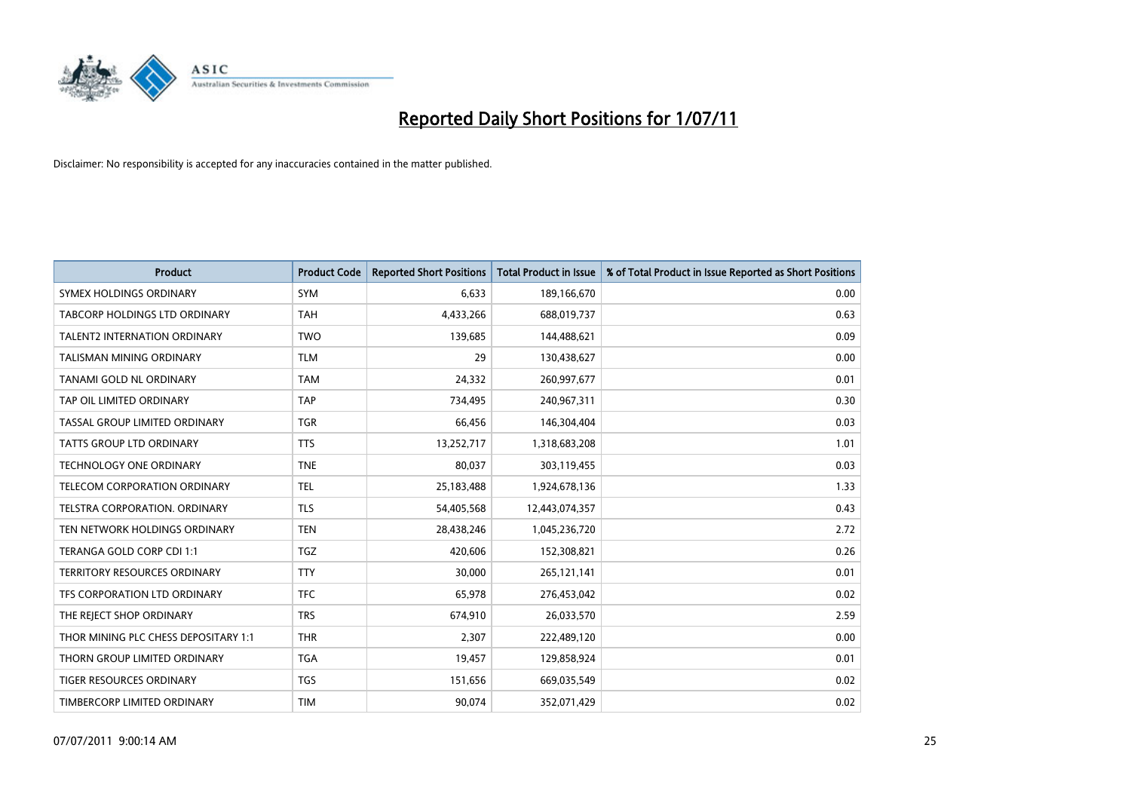

| <b>Product</b>                       | <b>Product Code</b> | <b>Reported Short Positions</b> | Total Product in Issue | % of Total Product in Issue Reported as Short Positions |
|--------------------------------------|---------------------|---------------------------------|------------------------|---------------------------------------------------------|
| SYMEX HOLDINGS ORDINARY              | SYM                 | 6,633                           | 189,166,670            | 0.00                                                    |
| TABCORP HOLDINGS LTD ORDINARY        | <b>TAH</b>          | 4,433,266                       | 688,019,737            | 0.63                                                    |
| <b>TALENT2 INTERNATION ORDINARY</b>  | <b>TWO</b>          | 139,685                         | 144,488,621            | 0.09                                                    |
| TALISMAN MINING ORDINARY             | <b>TLM</b>          | 29                              | 130,438,627            | 0.00                                                    |
| TANAMI GOLD NL ORDINARY              | <b>TAM</b>          | 24,332                          | 260,997,677            | 0.01                                                    |
| TAP OIL LIMITED ORDINARY             | <b>TAP</b>          | 734,495                         | 240,967,311            | 0.30                                                    |
| TASSAL GROUP LIMITED ORDINARY        | <b>TGR</b>          | 66,456                          | 146,304,404            | 0.03                                                    |
| TATTS GROUP LTD ORDINARY             | <b>TTS</b>          | 13,252,717                      | 1,318,683,208          | 1.01                                                    |
| <b>TECHNOLOGY ONE ORDINARY</b>       | <b>TNE</b>          | 80,037                          | 303,119,455            | 0.03                                                    |
| <b>TELECOM CORPORATION ORDINARY</b>  | <b>TEL</b>          | 25,183,488                      | 1,924,678,136          | 1.33                                                    |
| TELSTRA CORPORATION. ORDINARY        | <b>TLS</b>          | 54,405,568                      | 12,443,074,357         | 0.43                                                    |
| TEN NETWORK HOLDINGS ORDINARY        | <b>TEN</b>          | 28,438,246                      | 1,045,236,720          | 2.72                                                    |
| TERANGA GOLD CORP CDI 1:1            | <b>TGZ</b>          | 420,606                         | 152,308,821            | 0.26                                                    |
| TERRITORY RESOURCES ORDINARY         | <b>TTY</b>          | 30,000                          | 265,121,141            | 0.01                                                    |
| TFS CORPORATION LTD ORDINARY         | <b>TFC</b>          | 65,978                          | 276,453,042            | 0.02                                                    |
| THE REJECT SHOP ORDINARY             | <b>TRS</b>          | 674,910                         | 26,033,570             | 2.59                                                    |
| THOR MINING PLC CHESS DEPOSITARY 1:1 | <b>THR</b>          | 2,307                           | 222,489,120            | 0.00                                                    |
| THORN GROUP LIMITED ORDINARY         | <b>TGA</b>          | 19,457                          | 129,858,924            | 0.01                                                    |
| TIGER RESOURCES ORDINARY             | <b>TGS</b>          | 151,656                         | 669,035,549            | 0.02                                                    |
| TIMBERCORP LIMITED ORDINARY          | <b>TIM</b>          | 90,074                          | 352,071,429            | 0.02                                                    |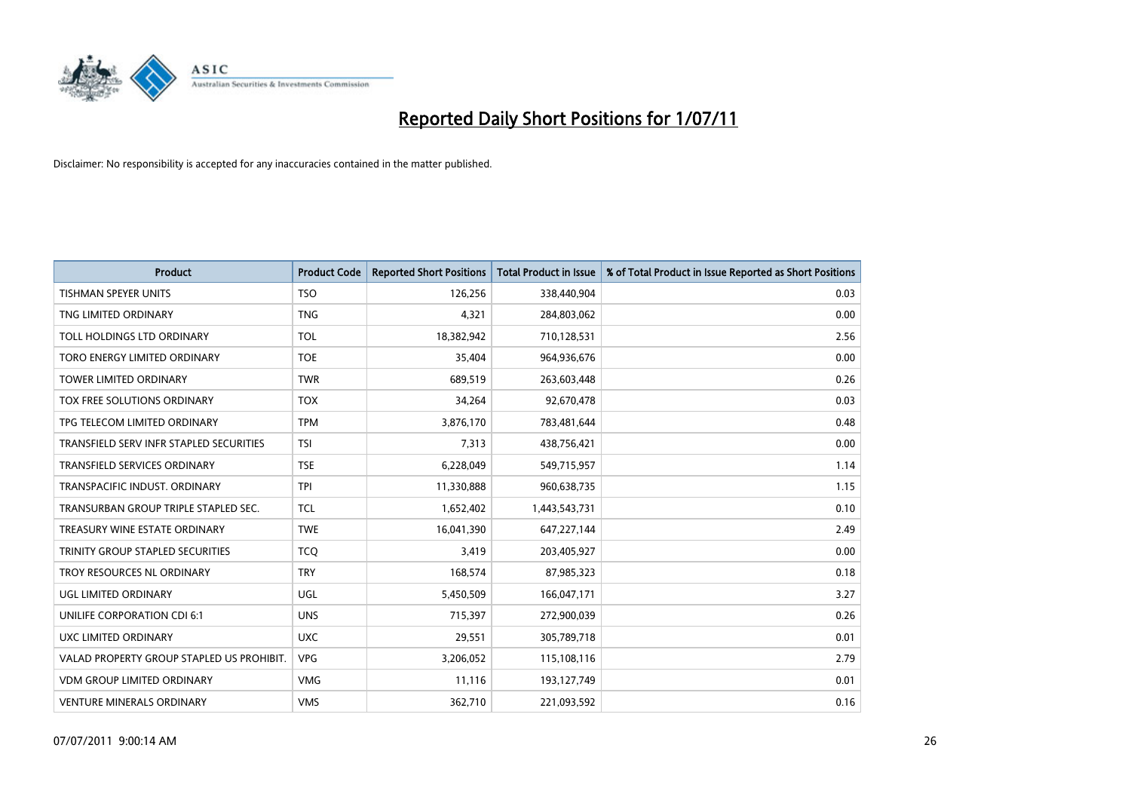

| <b>Product</b>                            | <b>Product Code</b> | <b>Reported Short Positions</b> | Total Product in Issue | % of Total Product in Issue Reported as Short Positions |
|-------------------------------------------|---------------------|---------------------------------|------------------------|---------------------------------------------------------|
| <b>TISHMAN SPEYER UNITS</b>               | <b>TSO</b>          | 126,256                         | 338,440,904            | 0.03                                                    |
| TNG LIMITED ORDINARY                      | <b>TNG</b>          | 4,321                           | 284,803,062            | 0.00                                                    |
| TOLL HOLDINGS LTD ORDINARY                | <b>TOL</b>          | 18,382,942                      | 710,128,531            | 2.56                                                    |
| TORO ENERGY LIMITED ORDINARY              | <b>TOE</b>          | 35,404                          | 964,936,676            | 0.00                                                    |
| <b>TOWER LIMITED ORDINARY</b>             | <b>TWR</b>          | 689,519                         | 263,603,448            | 0.26                                                    |
| <b>TOX FREE SOLUTIONS ORDINARY</b>        | <b>TOX</b>          | 34,264                          | 92,670,478             | 0.03                                                    |
| TPG TELECOM LIMITED ORDINARY              | <b>TPM</b>          | 3,876,170                       | 783,481,644            | 0.48                                                    |
| TRANSFIELD SERV INFR STAPLED SECURITIES   | <b>TSI</b>          | 7,313                           | 438,756,421            | 0.00                                                    |
| <b>TRANSFIELD SERVICES ORDINARY</b>       | <b>TSE</b>          | 6,228,049                       | 549,715,957            | 1.14                                                    |
| TRANSPACIFIC INDUST, ORDINARY             | <b>TPI</b>          | 11,330,888                      | 960,638,735            | 1.15                                                    |
| TRANSURBAN GROUP TRIPLE STAPLED SEC.      | <b>TCL</b>          | 1,652,402                       | 1,443,543,731          | 0.10                                                    |
| TREASURY WINE ESTATE ORDINARY             | <b>TWE</b>          | 16,041,390                      | 647,227,144            | 2.49                                                    |
| TRINITY GROUP STAPLED SECURITIES          | <b>TCO</b>          | 3,419                           | 203,405,927            | 0.00                                                    |
| TROY RESOURCES NL ORDINARY                | <b>TRY</b>          | 168,574                         | 87,985,323             | 0.18                                                    |
| UGL LIMITED ORDINARY                      | UGL                 | 5,450,509                       | 166,047,171            | 3.27                                                    |
| UNILIFE CORPORATION CDI 6:1               | <b>UNS</b>          | 715,397                         | 272,900,039            | 0.26                                                    |
| UXC LIMITED ORDINARY                      | <b>UXC</b>          | 29,551                          | 305,789,718            | 0.01                                                    |
| VALAD PROPERTY GROUP STAPLED US PROHIBIT. | <b>VPG</b>          | 3,206,052                       | 115,108,116            | 2.79                                                    |
| <b>VDM GROUP LIMITED ORDINARY</b>         | <b>VMG</b>          | 11,116                          | 193,127,749            | 0.01                                                    |
| <b>VENTURE MINERALS ORDINARY</b>          | <b>VMS</b>          | 362,710                         | 221,093,592            | 0.16                                                    |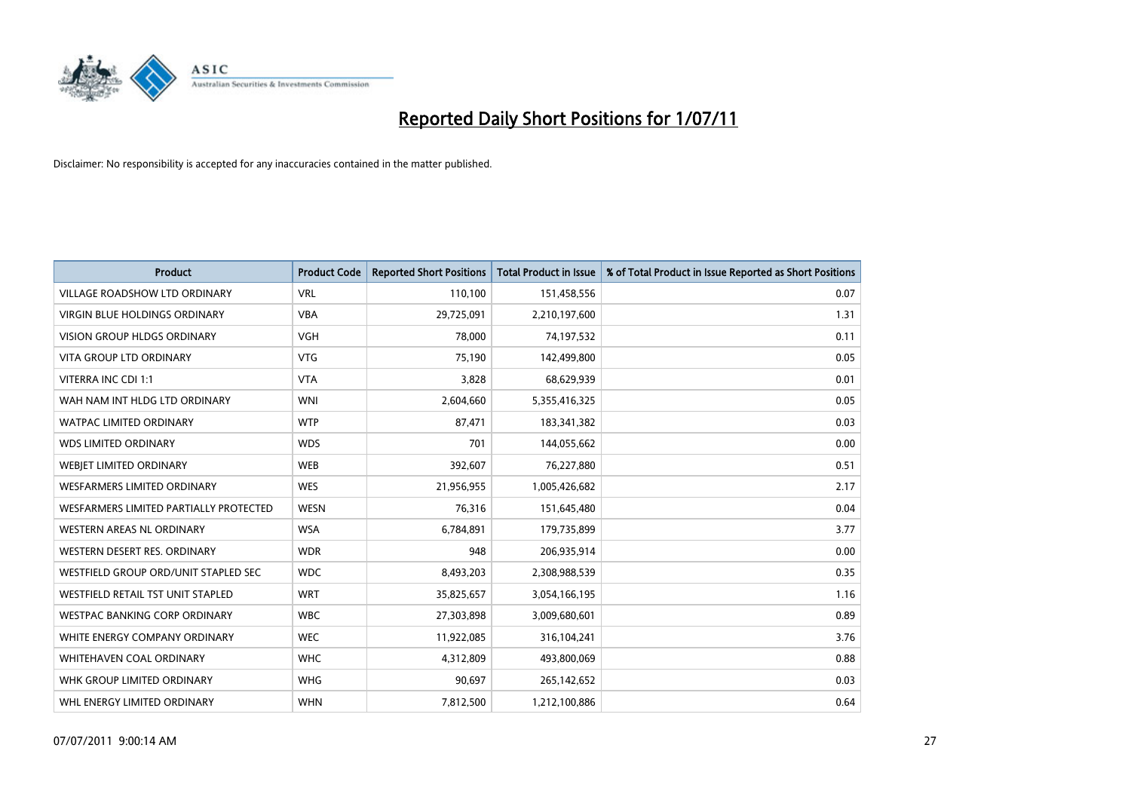

| <b>Product</b>                         | <b>Product Code</b> | <b>Reported Short Positions</b> | <b>Total Product in Issue</b> | % of Total Product in Issue Reported as Short Positions |
|----------------------------------------|---------------------|---------------------------------|-------------------------------|---------------------------------------------------------|
| <b>VILLAGE ROADSHOW LTD ORDINARY</b>   | <b>VRL</b>          | 110,100                         | 151,458,556                   | 0.07                                                    |
| <b>VIRGIN BLUE HOLDINGS ORDINARY</b>   | <b>VBA</b>          | 29,725,091                      | 2,210,197,600                 | 1.31                                                    |
| <b>VISION GROUP HLDGS ORDINARY</b>     | <b>VGH</b>          | 78,000                          | 74,197,532                    | 0.11                                                    |
| VITA GROUP LTD ORDINARY                | <b>VTG</b>          | 75,190                          | 142,499,800                   | 0.05                                                    |
| VITERRA INC CDI 1:1                    | <b>VTA</b>          | 3,828                           | 68,629,939                    | 0.01                                                    |
| WAH NAM INT HLDG LTD ORDINARY          | <b>WNI</b>          | 2,604,660                       | 5,355,416,325                 | 0.05                                                    |
| <b>WATPAC LIMITED ORDINARY</b>         | <b>WTP</b>          | 87,471                          | 183,341,382                   | 0.03                                                    |
| <b>WDS LIMITED ORDINARY</b>            | <b>WDS</b>          | 701                             | 144,055,662                   | 0.00                                                    |
| WEBJET LIMITED ORDINARY                | <b>WEB</b>          | 392,607                         | 76,227,880                    | 0.51                                                    |
| <b>WESFARMERS LIMITED ORDINARY</b>     | <b>WES</b>          | 21,956,955                      | 1,005,426,682                 | 2.17                                                    |
| WESFARMERS LIMITED PARTIALLY PROTECTED | <b>WESN</b>         | 76,316                          | 151,645,480                   | 0.04                                                    |
| <b>WESTERN AREAS NL ORDINARY</b>       | <b>WSA</b>          | 6,784,891                       | 179,735,899                   | 3.77                                                    |
| WESTERN DESERT RES. ORDINARY           | <b>WDR</b>          | 948                             | 206,935,914                   | 0.00                                                    |
| WESTFIELD GROUP ORD/UNIT STAPLED SEC   | <b>WDC</b>          | 8,493,203                       | 2,308,988,539                 | 0.35                                                    |
| WESTFIELD RETAIL TST UNIT STAPLED      | <b>WRT</b>          | 35,825,657                      | 3,054,166,195                 | 1.16                                                    |
| <b>WESTPAC BANKING CORP ORDINARY</b>   | <b>WBC</b>          | 27,303,898                      | 3,009,680,601                 | 0.89                                                    |
| WHITE ENERGY COMPANY ORDINARY          | <b>WEC</b>          | 11,922,085                      | 316,104,241                   | 3.76                                                    |
| WHITEHAVEN COAL ORDINARY               | <b>WHC</b>          | 4,312,809                       | 493,800,069                   | 0.88                                                    |
| WHK GROUP LIMITED ORDINARY             | <b>WHG</b>          | 90,697                          | 265,142,652                   | 0.03                                                    |
| WHL ENERGY LIMITED ORDINARY            | <b>WHN</b>          | 7,812,500                       | 1,212,100,886                 | 0.64                                                    |